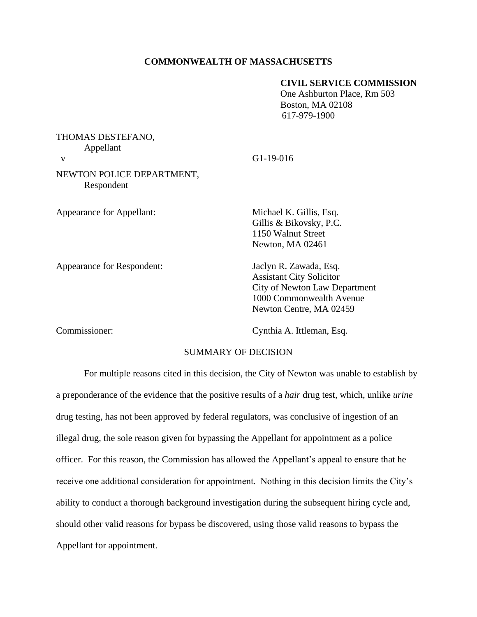## **COMMONWEALTH OF MASSACHUSETTS**

## **CIVIL SERVICE COMMISSION**

One Ashburton Place, Rm 503 Boston, MA 02108 617-979-1900

| THOMAS DESTEFANO,<br>Appellant          | $G1-19-016$                                                                                  |
|-----------------------------------------|----------------------------------------------------------------------------------------------|
| V                                       |                                                                                              |
| NEWTON POLICE DEPARTMENT,<br>Respondent |                                                                                              |
| Appearance for Appellant:               | Michael K. Gillis, Esq.<br>Gillis & Bikovsky, P.C.<br>1150 Walnut Street<br>Newton, MA 02461 |
| Appearance for Respondent:              | Jaclyn R. Zawada, Esq.<br><b>Assistant City Solicitor</b><br>City of Newton Law Department   |

Commissioner: Cynthia A. Ittleman, Esq.

1000 Commonwealth Avenue Newton Centre, MA 02459

# SUMMARY OF DECISION

For multiple reasons cited in this decision, the City of Newton was unable to establish by a preponderance of the evidence that the positive results of a *hair* drug test, which, unlike *urine* drug testing, has not been approved by federal regulators, was conclusive of ingestion of an illegal drug, the sole reason given for bypassing the Appellant for appointment as a police officer. For this reason, the Commission has allowed the Appellant's appeal to ensure that he receive one additional consideration for appointment. Nothing in this decision limits the City's ability to conduct a thorough background investigation during the subsequent hiring cycle and, should other valid reasons for bypass be discovered, using those valid reasons to bypass the Appellant for appointment.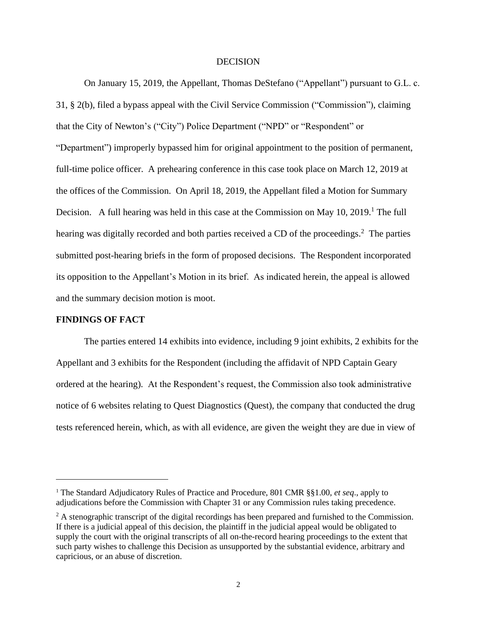#### **DECISION**

On January 15, 2019, the Appellant, Thomas DeStefano ("Appellant") pursuant to G.L. c. 31, § 2(b), filed a bypass appeal with the Civil Service Commission ("Commission"), claiming that the City of Newton's ("City") Police Department ("NPD" or "Respondent" or "Department") improperly bypassed him for original appointment to the position of permanent, full-time police officer. A prehearing conference in this case took place on March 12, 2019 at the offices of the Commission. On April 18, 2019, the Appellant filed a Motion for Summary Decision. A full hearing was held in this case at the Commission on May  $10$ ,  $2019$ .<sup>1</sup> The full hearing was digitally recorded and both parties received a CD of the proceedings.<sup>2</sup> The parties submitted post-hearing briefs in the form of proposed decisions. The Respondent incorporated its opposition to the Appellant's Motion in its brief. As indicated herein, the appeal is allowed and the summary decision motion is moot.

#### **FINDINGS OF FACT**

The parties entered 14 exhibits into evidence, including 9 joint exhibits, 2 exhibits for the Appellant and 3 exhibits for the Respondent (including the affidavit of NPD Captain Geary ordered at the hearing). At the Respondent's request, the Commission also took administrative notice of 6 websites relating to Quest Diagnostics (Quest), the company that conducted the drug tests referenced herein, which, as with all evidence, are given the weight they are due in view of

<sup>1</sup> The Standard Adjudicatory Rules of Practice and Procedure, 801 CMR §§1.00, *et seq*., apply to adjudications before the Commission with Chapter 31 or any Commission rules taking precedence.

 $2 \text{ A stenographic transcript of the digital recordings has been prepared and furnished to the Commission.}$ If there is a judicial appeal of this decision, the plaintiff in the judicial appeal would be obligated to supply the court with the original transcripts of all on-the-record hearing proceedings to the extent that such party wishes to challenge this Decision as unsupported by the substantial evidence, arbitrary and capricious, or an abuse of discretion.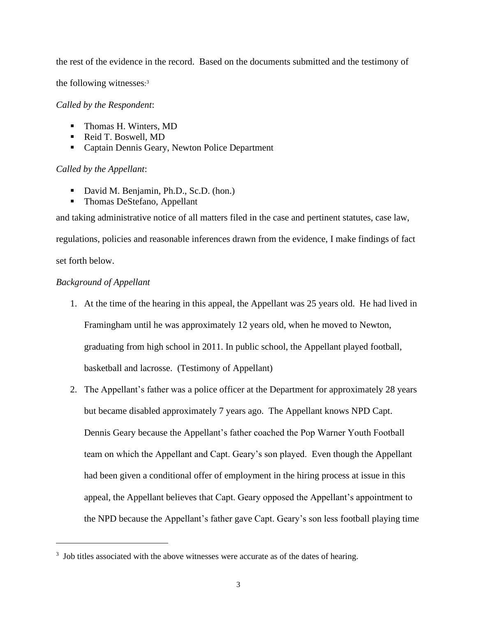the rest of the evidence in the record. Based on the documents submitted and the testimony of

the following witnesses: 3

*Called by the Respondent*:

- Thomas H. Winters, MD
- Reid T. Boswell, MD
- Captain Dennis Geary, Newton Police Department

## *Called by the Appellant*:

- David M. Benjamin, Ph.D., Sc.D. (hon.)
- Thomas DeStefano, Appellant

and taking administrative notice of all matters filed in the case and pertinent statutes, case law,

regulations, policies and reasonable inferences drawn from the evidence, I make findings of fact set forth below.

## *Background of Appellant*

- 1. At the time of the hearing in this appeal, the Appellant was 25 years old. He had lived in Framingham until he was approximately 12 years old, when he moved to Newton, graduating from high school in 2011. In public school, the Appellant played football, basketball and lacrosse. (Testimony of Appellant)
- 2. The Appellant's father was a police officer at the Department for approximately 28 years but became disabled approximately 7 years ago. The Appellant knows NPD Capt. Dennis Geary because the Appellant's father coached the Pop Warner Youth Football team on which the Appellant and Capt. Geary's son played. Even though the Appellant had been given a conditional offer of employment in the hiring process at issue in this appeal, the Appellant believes that Capt. Geary opposed the Appellant's appointment to the NPD because the Appellant's father gave Capt. Geary's son less football playing time

<sup>&</sup>lt;sup>3</sup> Job titles associated with the above witnesses were accurate as of the dates of hearing.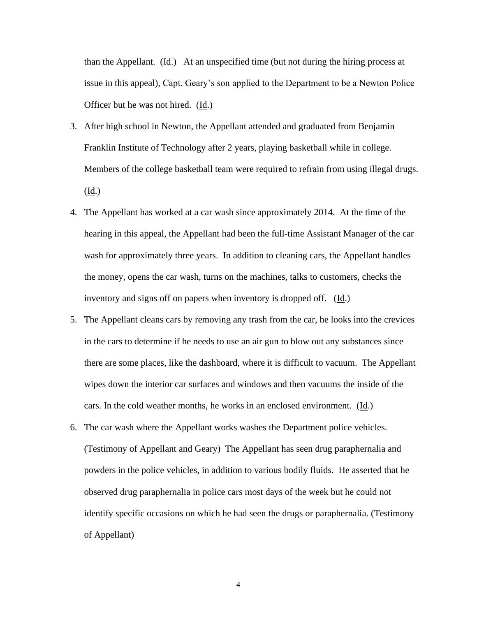than the Appellant.  $(\underline{Id})$  At an unspecified time (but not during the hiring process at issue in this appeal), Capt. Geary's son applied to the Department to be a Newton Police Officer but he was not hired. (Id.)

- 3. After high school in Newton, the Appellant attended and graduated from Benjamin Franklin Institute of Technology after 2 years, playing basketball while in college. Members of the college basketball team were required to refrain from using illegal drugs. (Id.)
- 4. The Appellant has worked at a car wash since approximately 2014. At the time of the hearing in this appeal, the Appellant had been the full-time Assistant Manager of the car wash for approximately three years. In addition to cleaning cars, the Appellant handles the money, opens the car wash, turns on the machines, talks to customers, checks the inventory and signs off on papers when inventory is dropped off. (Id.)
- 5. The Appellant cleans cars by removing any trash from the car, he looks into the crevices in the cars to determine if he needs to use an air gun to blow out any substances since there are some places, like the dashboard, where it is difficult to vacuum. The Appellant wipes down the interior car surfaces and windows and then vacuums the inside of the cars. In the cold weather months, he works in an enclosed environment. (Id.)
- 6. The car wash where the Appellant works washes the Department police vehicles. (Testimony of Appellant and Geary) The Appellant has seen drug paraphernalia and powders in the police vehicles, in addition to various bodily fluids. He asserted that he observed drug paraphernalia in police cars most days of the week but he could not identify specific occasions on which he had seen the drugs or paraphernalia. (Testimony of Appellant)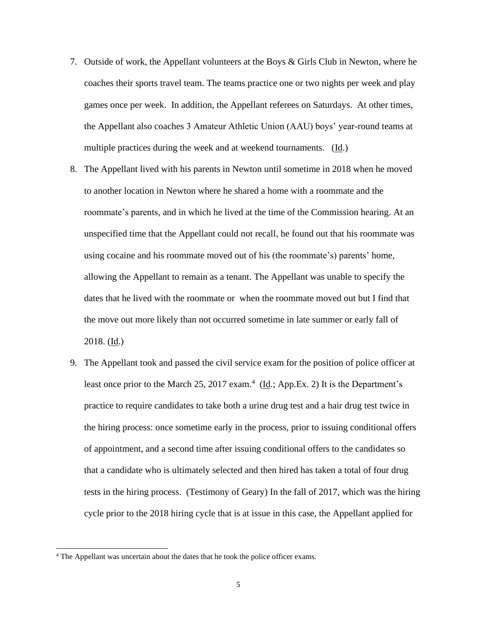- 7. Outside of work, the Appellant volunteers at the Boys & Girls Club in Newton, where he coaches their sports travel team. The teams practice one or two nights per week and play games once per week. In addition, the Appellant referees on Saturdays. At other times, the Appellant also coaches 3 Amateur Athletic Union (AAU) boys' year-round teams at multiple practices during the week and at weekend tournaments. (Id.)
- 8. The Appellant lived with his parents in Newton until sometime in 2018 when he moved to another location in Newton where he shared a home with a roommate and the roommate's parents, and in which he lived at the time of the Commission hearing. At an unspecified time that the Appellant could not recall, he found out that his roommate was using cocaine and his roommate moved out of his (the roommate's) parents' home, allowing the Appellant to remain as a tenant. The Appellant was unable to specify the dates that he lived with the roommate or when the roommate moved out but I find that the move out more likely than not occurred sometime in late summer or early fall of 2018. (Id.)
- 9. The Appellant took and passed the civil service exam for the position of police officer at least once prior to the March 25, 2017 exam.<sup>4</sup> ( $\underline{Id}$ .; App.Ex. 2) It is the Department's practice to require candidates to take both a urine drug test and a hair drug test twice in the hiring process: once sometime early in the process, prior to issuing conditional offers of appointment, and a second time after issuing conditional offers to the candidates so that a candidate who is ultimately selected and then hired has taken a total of four drug tests in the hiring process. (Testimony of Geary) In the fall of 2017, which was the hiring cycle prior to the 2018 hiring cycle that is at issue in this case, the Appellant applied for

<sup>4</sup> The Appellant was uncertain about the dates that he took the police officer exams.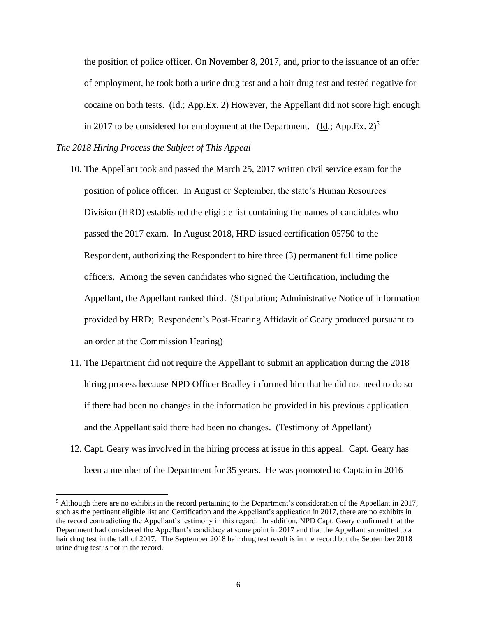the position of police officer. On November 8, 2017, and, prior to the issuance of an offer of employment, he took both a urine drug test and a hair drug test and tested negative for cocaine on both tests. (Id.; App.Ex. 2) However, the Appellant did not score high enough in 2017 to be considered for employment at the Department.  $(\underline{Id}$ : App.Ex. 2)<sup>5</sup>

#### *The 2018 Hiring Process the Subject of This Appeal*

- 10. The Appellant took and passed the March 25, 2017 written civil service exam for the position of police officer. In August or September, the state's Human Resources Division (HRD) established the eligible list containing the names of candidates who passed the 2017 exam. In August 2018, HRD issued certification 05750 to the Respondent, authorizing the Respondent to hire three (3) permanent full time police officers. Among the seven candidates who signed the Certification, including the Appellant, the Appellant ranked third. (Stipulation; Administrative Notice of information provided by HRD; Respondent's Post-Hearing Affidavit of Geary produced pursuant to an order at the Commission Hearing)
- 11. The Department did not require the Appellant to submit an application during the 2018 hiring process because NPD Officer Bradley informed him that he did not need to do so if there had been no changes in the information he provided in his previous application and the Appellant said there had been no changes. (Testimony of Appellant)
- 12. Capt. Geary was involved in the hiring process at issue in this appeal. Capt. Geary has been a member of the Department for 35 years. He was promoted to Captain in 2016

 $<sup>5</sup>$  Although there are no exhibits in the record pertaining to the Department's consideration of the Appellant in 2017,</sup> such as the pertinent eligible list and Certification and the Appellant's application in 2017, there are no exhibits in the record contradicting the Appellant's testimony in this regard. In addition, NPD Capt. Geary confirmed that the Department had considered the Appellant's candidacy at some point in 2017 and that the Appellant submitted to a hair drug test in the fall of 2017. The September 2018 hair drug test result is in the record but the September 2018 urine drug test is not in the record.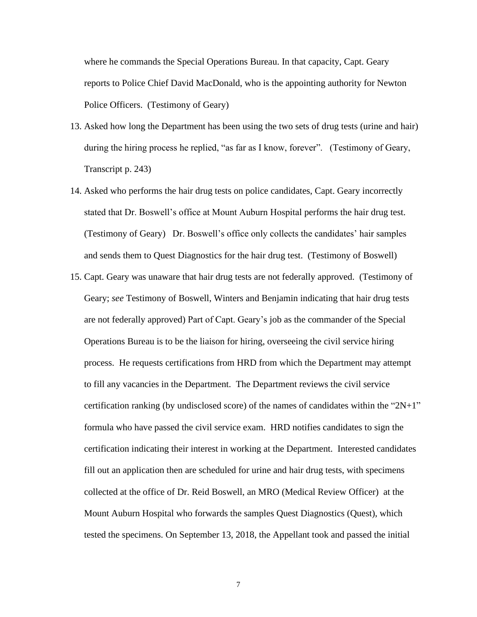where he commands the Special Operations Bureau. In that capacity, Capt. Geary reports to Police Chief David MacDonald, who is the appointing authority for Newton Police Officers. (Testimony of Geary)

- 13. Asked how long the Department has been using the two sets of drug tests (urine and hair) during the hiring process he replied, "as far as I know, forever". (Testimony of Geary, Transcript p. 243)
- 14. Asked who performs the hair drug tests on police candidates, Capt. Geary incorrectly stated that Dr. Boswell's office at Mount Auburn Hospital performs the hair drug test. (Testimony of Geary) Dr. Boswell's office only collects the candidates' hair samples and sends them to Quest Diagnostics for the hair drug test. (Testimony of Boswell)
- 15. Capt. Geary was unaware that hair drug tests are not federally approved. (Testimony of Geary; *see* Testimony of Boswell, Winters and Benjamin indicating that hair drug tests are not federally approved) Part of Capt. Geary's job as the commander of the Special Operations Bureau is to be the liaison for hiring, overseeing the civil service hiring process. He requests certifications from HRD from which the Department may attempt to fill any vacancies in the Department. The Department reviews the civil service certification ranking (by undisclosed score) of the names of candidates within the "2N+1" formula who have passed the civil service exam. HRD notifies candidates to sign the certification indicating their interest in working at the Department. Interested candidates fill out an application then are scheduled for urine and hair drug tests, with specimens collected at the office of Dr. Reid Boswell, an MRO (Medical Review Officer) at the Mount Auburn Hospital who forwards the samples Quest Diagnostics (Quest), which tested the specimens. On September 13, 2018, the Appellant took and passed the initial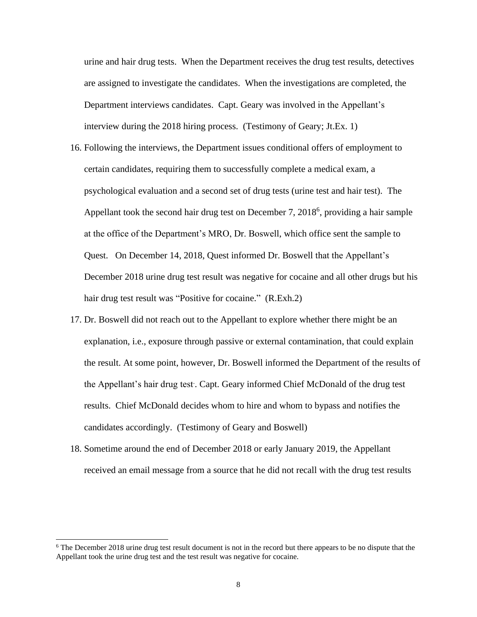urine and hair drug tests. When the Department receives the drug test results, detectives are assigned to investigate the candidates. When the investigations are completed, the Department interviews candidates. Capt. Geary was involved in the Appellant's interview during the 2018 hiring process. (Testimony of Geary; Jt.Ex. 1)

- 16. Following the interviews, the Department issues conditional offers of employment to certain candidates, requiring them to successfully complete a medical exam, a psychological evaluation and a second set of drug tests (urine test and hair test). The Appellant took the second hair drug test on December 7, 2018<sup>6</sup>, providing a hair sample at the office of the Department's MRO, Dr. Boswell, which office sent the sample to Quest. On December 14, 2018, Quest informed Dr. Boswell that the Appellant's December 2018 urine drug test result was negative for cocaine and all other drugs but his hair drug test result was "Positive for cocaine." (R.Exh.2)
- 17. Dr. Boswell did not reach out to the Appellant to explore whether there might be an explanation, i.e., exposure through passive or external contamination, that could explain the result. At some point, however, Dr. Boswell informed the Department of the results of the Appellant's hair drug test. . Capt. Geary informed Chief McDonald of the drug test results. Chief McDonald decides whom to hire and whom to bypass and notifies the candidates accordingly. (Testimony of Geary and Boswell)
- 18. Sometime around the end of December 2018 or early January 2019, the Appellant received an email message from a source that he did not recall with the drug test results

<sup>&</sup>lt;sup>6</sup> The December 2018 urine drug test result document is not in the record but there appears to be no dispute that the Appellant took the urine drug test and the test result was negative for cocaine.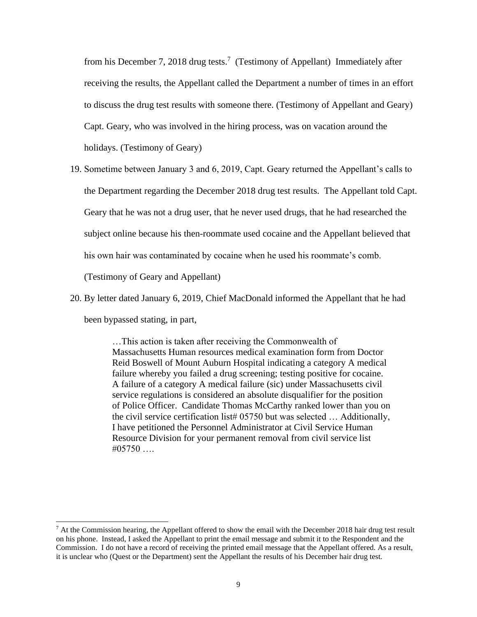from his December 7, 2018 drug tests.<sup>7</sup> (Testimony of Appellant) Immediately after receiving the results, the Appellant called the Department a number of times in an effort to discuss the drug test results with someone there. (Testimony of Appellant and Geary) Capt. Geary, who was involved in the hiring process, was on vacation around the holidays. (Testimony of Geary)

- 19. Sometime between January 3 and 6, 2019, Capt. Geary returned the Appellant's calls to the Department regarding the December 2018 drug test results. The Appellant told Capt. Geary that he was not a drug user, that he never used drugs, that he had researched the subject online because his then-roommate used cocaine and the Appellant believed that his own hair was contaminated by cocaine when he used his roommate's comb. (Testimony of Geary and Appellant)
- 20. By letter dated January 6, 2019, Chief MacDonald informed the Appellant that he had been bypassed stating, in part,

…This action is taken after receiving the Commonwealth of Massachusetts Human resources medical examination form from Doctor Reid Boswell of Mount Auburn Hospital indicating a category A medical failure whereby you failed a drug screening; testing positive for cocaine. A failure of a category A medical failure (sic) under Massachusetts civil service regulations is considered an absolute disqualifier for the position of Police Officer. Candidate Thomas McCarthy ranked lower than you on the civil service certification list# 05750 but was selected ... Additionally, I have petitioned the Personnel Administrator at Civil Service Human Resource Division for your permanent removal from civil service list  $\#05750$  ...

 $7$  At the Commission hearing, the Appellant offered to show the email with the December 2018 hair drug test result on his phone. Instead, I asked the Appellant to print the email message and submit it to the Respondent and the Commission. I do not have a record of receiving the printed email message that the Appellant offered. As a result, it is unclear who (Quest or the Department) sent the Appellant the results of his December hair drug test.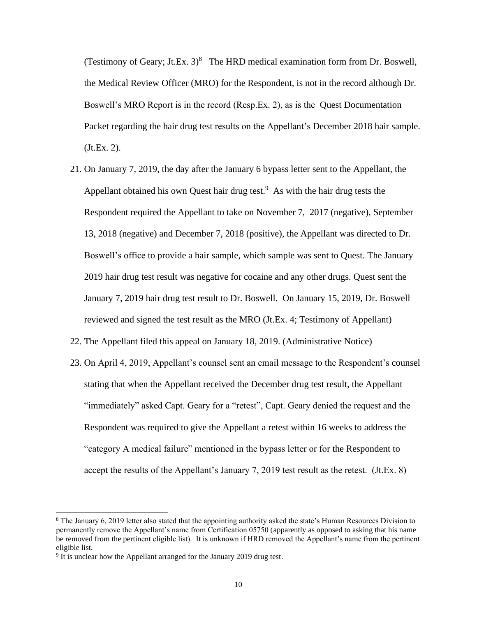(Testimony of Geary; Jt.Ex.  $3)^8$  The HRD medical examination form from Dr. Boswell, the Medical Review Officer (MRO) for the Respondent, is not in the record although Dr. Boswell's MRO Report is in the record (Resp.Ex. 2), as is the Quest Documentation Packet regarding the hair drug test results on the Appellant's December 2018 hair sample. (Jt.Ex. 2).

- 21. On January 7, 2019, the day after the January 6 bypass letter sent to the Appellant, the Appellant obtained his own Quest hair drug test.<sup>9</sup> As with the hair drug tests the Respondent required the Appellant to take on November 7, 2017 (negative), September 13, 2018 (negative) and December 7, 2018 (positive), the Appellant was directed to Dr. Boswell's office to provide a hair sample, which sample was sent to Quest. The January 2019 hair drug test result was negative for cocaine and any other drugs. Quest sent the January 7, 2019 hair drug test result to Dr. Boswell. On January 15, 2019, Dr. Boswell reviewed and signed the test result as the MRO (Jt.Ex. 4; Testimony of Appellant)
- 22. The Appellant filed this appeal on January 18, 2019. (Administrative Notice)
- 23. On April 4, 2019, Appellant's counsel sent an email message to the Respondent's counsel stating that when the Appellant received the December drug test result, the Appellant "immediately" asked Capt. Geary for a "retest", Capt. Geary denied the request and the Respondent was required to give the Appellant a retest within 16 weeks to address the "category A medical failure" mentioned in the bypass letter or for the Respondent to accept the results of the Appellant's January 7, 2019 test result as the retest. (Jt.Ex. 8)

<sup>8</sup> The January 6, 2019 letter also stated that the appointing authority asked the state's Human Resources Division to permanently remove the Appellant's name from Certification 05750 (apparently as opposed to asking that his name be removed from the pertinent eligible list). It is unknown if HRD removed the Appellant's name from the pertinent eligible list.

<sup>&</sup>lt;sup>9</sup> It is unclear how the Appellant arranged for the January 2019 drug test.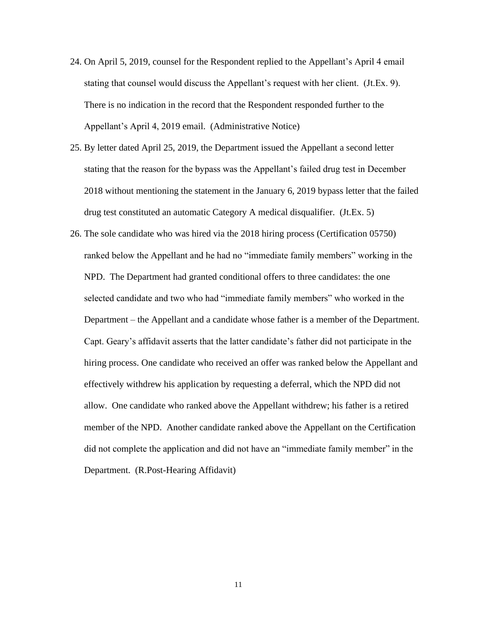- 24. On April 5, 2019, counsel for the Respondent replied to the Appellant's April 4 email stating that counsel would discuss the Appellant's request with her client. (Jt.Ex. 9). There is no indication in the record that the Respondent responded further to the Appellant's April 4, 2019 email. (Administrative Notice)
- 25. By letter dated April 25, 2019, the Department issued the Appellant a second letter stating that the reason for the bypass was the Appellant's failed drug test in December 2018 without mentioning the statement in the January 6, 2019 bypass letter that the failed drug test constituted an automatic Category A medical disqualifier. (Jt.Ex. 5)
- 26. The sole candidate who was hired via the 2018 hiring process (Certification 05750) ranked below the Appellant and he had no "immediate family members" working in the NPD. The Department had granted conditional offers to three candidates: the one selected candidate and two who had "immediate family members" who worked in the Department – the Appellant and a candidate whose father is a member of the Department. Capt. Geary's affidavit asserts that the latter candidate's father did not participate in the hiring process. One candidate who received an offer was ranked below the Appellant and effectively withdrew his application by requesting a deferral, which the NPD did not allow. One candidate who ranked above the Appellant withdrew; his father is a retired member of the NPD. Another candidate ranked above the Appellant on the Certification did not complete the application and did not have an "immediate family member" in the Department. (R.Post-Hearing Affidavit)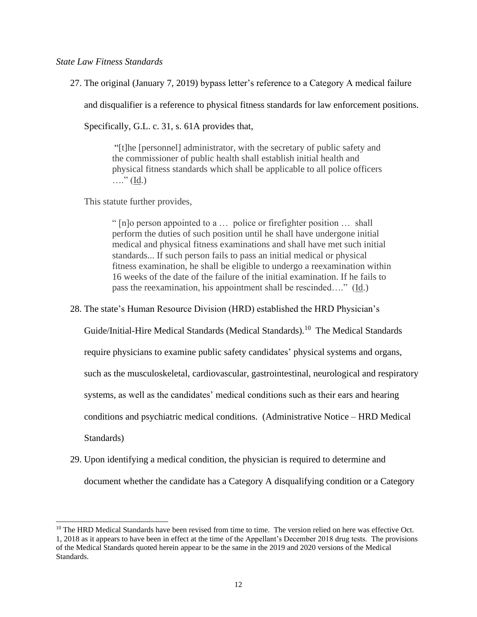#### *State Law Fitness Standards*

27. The original (January 7, 2019) bypass letter's reference to a Category A medical failure

and disqualifier is a reference to physical fitness standards for law enforcement positions.

Specifically, G.L. c. 31, s. 61A provides that,

"[t]he [personnel] administrator, with the secretary of public safety and the commissioner of public health shall establish initial health and physical fitness standards which shall be applicable to all police officers  $\ldots$ " (Id.)

This statute further provides,

" [n]o person appointed to a … police or firefighter position … shall perform the duties of such position until he shall have undergone initial medical and physical fitness examinations and shall have met such initial standards... If such person fails to pass an initial medical or physical fitness examination, he shall be eligible to undergo a reexamination within 16 weeks of the date of the failure of the initial examination. If he fails to pass the reexamination, his appointment shall be rescinded…." (Id.)

28. The state's Human Resource Division (HRD) established the HRD Physician's

Guide/Initial-Hire Medical Standards (Medical Standards).<sup>10</sup> The Medical Standards

require physicians to examine public safety candidates' physical systems and organs,

such as the musculoskeletal, cardiovascular, gastrointestinal, neurological and respiratory

systems, as well as the candidates' medical conditions such as their ears and hearing

conditions and psychiatric medical conditions. (Administrative Notice – HRD Medical

Standards)

29. Upon identifying a medical condition, the physician is required to determine and document whether the candidate has a Category A disqualifying condition or a Category

 $10$  The HRD Medical Standards have been revised from time to time. The version relied on here was effective Oct. 1, 2018 as it appears to have been in effect at the time of the Appellant's December 2018 drug tests. The provisions of the Medical Standards quoted herein appear to be the same in the 2019 and 2020 versions of the Medical Standards.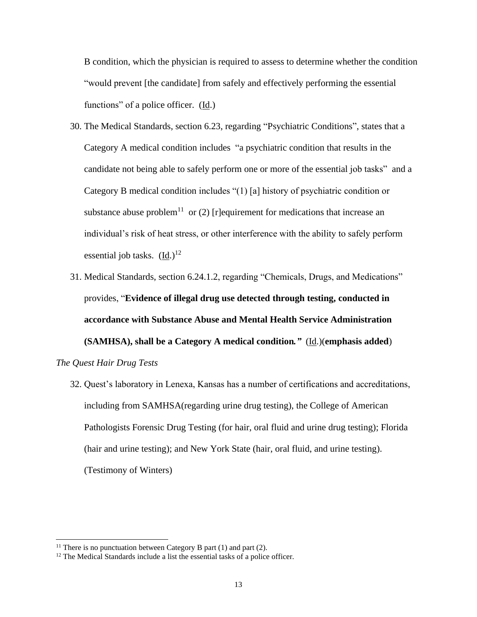B condition, which the physician is required to assess to determine whether the condition "would prevent [the candidate] from safely and effectively performing the essential functions" of a police officer. (Id.)

- 30. The Medical Standards, section 6.23, regarding "Psychiatric Conditions", states that a Category A medical condition includes "a psychiatric condition that results in the candidate not being able to safely perform one or more of the essential job tasks" and a Category B medical condition includes "(1) [a] history of psychiatric condition or substance abuse problem<sup>11</sup> or (2) [r]equirement for medications that increase an individual's risk of heat stress, or other interference with the ability to safely perform essential job tasks.  $(\underline{Id})^{12}$
- 31. Medical Standards, section 6.24.1.2, regarding "Chemicals, Drugs, and Medications" provides, "**Evidence of illegal drug use detected through testing, conducted in accordance with Substance Abuse and Mental Health Service Administration (SAMHSA), shall be a Category A medical condition***."* (Id.)(**emphasis added**)

*The Quest Hair Drug Tests*

32. Quest's laboratory in Lenexa, Kansas has a number of certifications and accreditations, including from SAMHSA(regarding urine drug testing), the College of American Pathologists Forensic Drug Testing (for hair, oral fluid and urine drug testing); Florida (hair and urine testing); and New York State (hair, oral fluid, and urine testing). (Testimony of Winters)

<sup>&</sup>lt;sup>11</sup> There is no punctuation between Category B part  $(1)$  and part  $(2)$ .

<sup>&</sup>lt;sup>12</sup> The Medical Standards include a list the essential tasks of a police officer.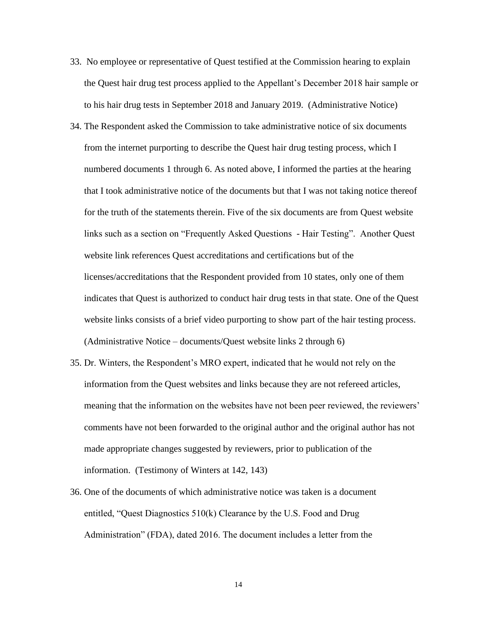- 33. No employee or representative of Quest testified at the Commission hearing to explain the Quest hair drug test process applied to the Appellant's December 2018 hair sample or to his hair drug tests in September 2018 and January 2019. (Administrative Notice)
- 34. The Respondent asked the Commission to take administrative notice of six documents from the internet purporting to describe the Quest hair drug testing process, which I numbered documents 1 through 6. As noted above, I informed the parties at the hearing that I took administrative notice of the documents but that I was not taking notice thereof for the truth of the statements therein. Five of the six documents are from Quest website links such as a section on "Frequently Asked Questions - Hair Testing". Another Quest website link references Quest accreditations and certifications but of the licenses/accreditations that the Respondent provided from 10 states, only one of them indicates that Quest is authorized to conduct hair drug tests in that state. One of the Quest website links consists of a brief video purporting to show part of the hair testing process. (Administrative Notice – documents/Quest website links 2 through 6)
- 35. Dr. Winters, the Respondent's MRO expert, indicated that he would not rely on the information from the Quest websites and links because they are not refereed articles, meaning that the information on the websites have not been peer reviewed, the reviewers' comments have not been forwarded to the original author and the original author has not made appropriate changes suggested by reviewers, prior to publication of the information. (Testimony of Winters at 142, 143)
- 36. One of the documents of which administrative notice was taken is a document entitled, "Quest Diagnostics 510(k) Clearance by the U.S. Food and Drug Administration" (FDA), dated 2016. The document includes a letter from the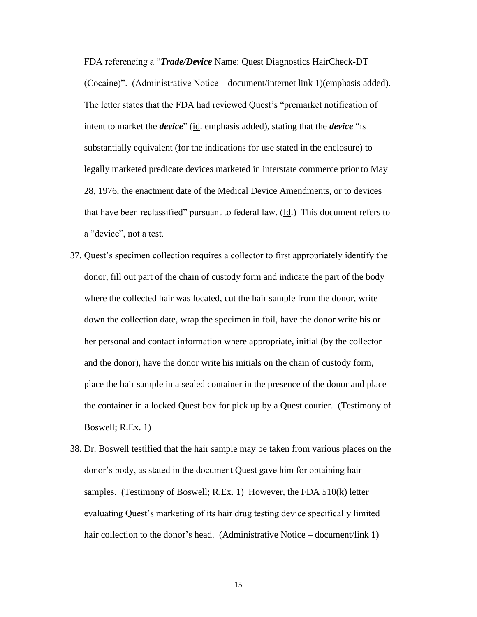FDA referencing a "*Trade/Device* Name: Quest Diagnostics HairCheck-DT (Cocaine)". (Administrative Notice – document/internet link 1)(emphasis added). The letter states that the FDA had reviewed Quest's "premarket notification of intent to market the *device*" (id. emphasis added), stating that the *device* "is substantially equivalent (for the indications for use stated in the enclosure) to legally marketed predicate devices marketed in interstate commerce prior to May 28, 1976, the enactment date of the Medical Device Amendments, or to devices that have been reclassified" pursuant to federal law.  $(\underline{Id})$ . This document refers to a "device", not a test.

- 37. Quest's specimen collection requires a collector to first appropriately identify the donor, fill out part of the chain of custody form and indicate the part of the body where the collected hair was located, cut the hair sample from the donor, write down the collection date, wrap the specimen in foil, have the donor write his or her personal and contact information where appropriate, initial (by the collector and the donor), have the donor write his initials on the chain of custody form, place the hair sample in a sealed container in the presence of the donor and place the container in a locked Quest box for pick up by a Quest courier. (Testimony of Boswell; R.Ex. 1)
- 38. Dr. Boswell testified that the hair sample may be taken from various places on the donor's body, as stated in the document Quest gave him for obtaining hair samples. (Testimony of Boswell; R.Ex. 1) However, the FDA 510(k) letter evaluating Quest's marketing of its hair drug testing device specifically limited hair collection to the donor's head. (Administrative Notice – document/link 1)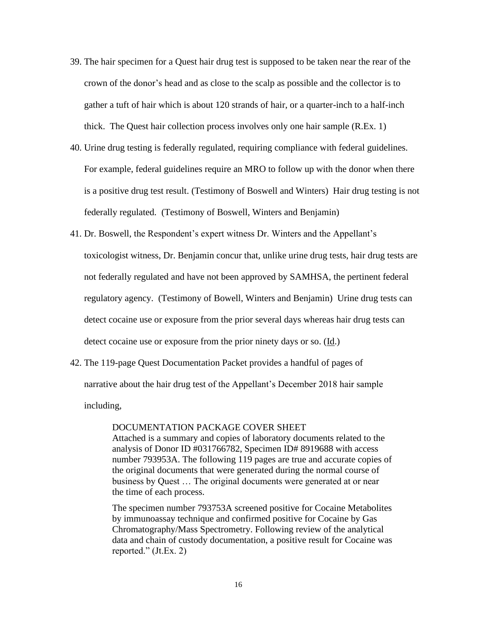- 39. The hair specimen for a Quest hair drug test is supposed to be taken near the rear of the crown of the donor's head and as close to the scalp as possible and the collector is to gather a tuft of hair which is about 120 strands of hair, or a quarter-inch to a half-inch thick. The Quest hair collection process involves only one hair sample (R.Ex. 1)
- 40. Urine drug testing is federally regulated, requiring compliance with federal guidelines. For example, federal guidelines require an MRO to follow up with the donor when there is a positive drug test result. (Testimony of Boswell and Winters) Hair drug testing is not federally regulated. (Testimony of Boswell, Winters and Benjamin)
- 41. Dr. Boswell, the Respondent's expert witness Dr. Winters and the Appellant's toxicologist witness, Dr. Benjamin concur that, unlike urine drug tests, hair drug tests are not federally regulated and have not been approved by SAMHSA, the pertinent federal regulatory agency. (Testimony of Bowell, Winters and Benjamin) Urine drug tests can detect cocaine use or exposure from the prior several days whereas hair drug tests can detect cocaine use or exposure from the prior ninety days or so. (Id.)
- 42. The 119-page Quest Documentation Packet provides a handful of pages of narrative about the hair drug test of the Appellant's December 2018 hair sample including,

#### DOCUMENTATION PACKAGE COVER SHEET

Attached is a summary and copies of laboratory documents related to the analysis of Donor ID #031766782, Specimen ID# 8919688 with access number 793953A. The following 119 pages are true and accurate copies of the original documents that were generated during the normal course of business by Quest … The original documents were generated at or near the time of each process.

The specimen number 793753A screened positive for Cocaine Metabolites by immunoassay technique and confirmed positive for Cocaine by Gas Chromatography/Mass Spectrometry. Following review of the analytical data and chain of custody documentation, a positive result for Cocaine was reported." (Jt.Ex. 2)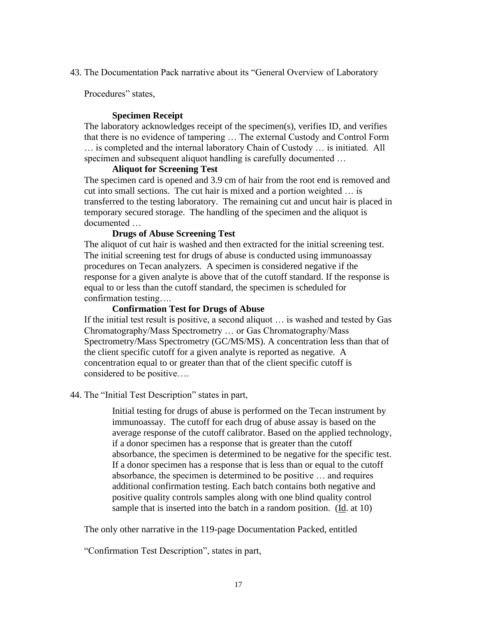43. The Documentation Pack narrative about its "General Overview of Laboratory

Procedures" states,

## **Specimen Receipt**

The laboratory acknowledges receipt of the specimen(s), verifies ID, and verifies that there is no evidence of tampering … The external Custody and Control Form … is completed and the internal laboratory Chain of Custody … is initiated. All specimen and subsequent aliquot handling is carefully documented …

#### **Aliquot for Screening Test**

The specimen card is opened and 3.9 cm of hair from the root end is removed and cut into small sections. The cut hair is mixed and a portion weighted … is transferred to the testing laboratory. The remaining cut and uncut hair is placed in temporary secured storage. The handling of the specimen and the aliquot is documented …

## **Drugs of Abuse Screening Test**

The aliquot of cut hair is washed and then extracted for the initial screening test. The initial screening test for drugs of abuse is conducted using immunoassay procedures on Tecan analyzers. A specimen is considered negative if the response for a given analyte is above that of the cutoff standard. If the response is equal to or less than the cutoff standard, the specimen is scheduled for confirmation testing….

#### **Confirmation Test for Drugs of Abuse**

If the initial test result is positive, a second aliquot … is washed and tested by Gas Chromatography/Mass Spectrometry … or Gas Chromatography/Mass Spectrometry/Mass Spectrometry (GC/MS/MS). A concentration less than that of the client specific cutoff for a given analyte is reported as negative. A concentration equal to or greater than that of the client specific cutoff is considered to be positive….

44. The "Initial Test Description" states in part,

Initial testing for drugs of abuse is performed on the Tecan instrument by immunoassay. The cutoff for each drug of abuse assay is based on the average response of the cutoff calibrator. Based on the applied technology, if a donor specimen has a response that is greater than the cutoff absorbance, the specimen is determined to be negative for the specific test. If a donor specimen has a response that is less than or equal to the cutoff absorbance, the specimen is determined to be positive … and requires additional confirmation testing. Each batch contains both negative and positive quality controls samples along with one blind quality control sample that is inserted into the batch in a random position. (Id. at 10)

The only other narrative in the 119-page Documentation Packed, entitled

"Confirmation Test Description", states in part,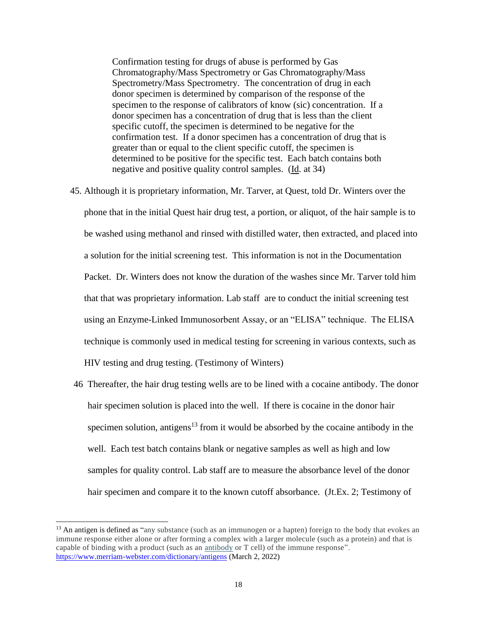Confirmation testing for drugs of abuse is performed by Gas Chromatography/Mass Spectrometry or Gas Chromatography/Mass Spectrometry/Mass Spectrometry. The concentration of drug in each donor specimen is determined by comparison of the response of the specimen to the response of calibrators of know (sic) concentration. If a donor specimen has a concentration of drug that is less than the client specific cutoff, the specimen is determined to be negative for the confirmation test. If a donor specimen has a concentration of drug that is greater than or equal to the client specific cutoff, the specimen is determined to be positive for the specific test. Each batch contains both negative and positive quality control samples. (Id. at 34)

- 45. Although it is proprietary information, Mr. Tarver, at Quest, told Dr. Winters over the phone that in the initial Quest hair drug test, a portion, or aliquot, of the hair sample is to be washed using methanol and rinsed with distilled water, then extracted, and placed into a solution for the initial screening test. This information is not in the Documentation Packet. Dr. Winters does not know the duration of the washes since Mr. Tarver told him that that was proprietary information. Lab staff are to conduct the initial screening test using an Enzyme-Linked Immunosorbent Assay, or an "ELISA" technique. The ELISA technique is commonly used in medical testing for screening in various contexts, such as HIV testing and drug testing. (Testimony of Winters)
- 46 Thereafter, the hair drug testing wells are to be lined with a cocaine antibody. The donor hair specimen solution is placed into the well. If there is cocaine in the donor hair specimen solution, antigens<sup>13</sup> from it would be absorbed by the cocaine antibody in the well. Each test batch contains blank or negative samples as well as high and low samples for quality control. Lab staff are to measure the absorbance level of the donor hair specimen and compare it to the known cutoff absorbance. (Jt.Ex. 2; Testimony of

<sup>&</sup>lt;sup>13</sup> An antigen is defined as "any substance (such as an immunogen or a hapten) foreign to the body that evokes an immune response either alone or after forming a complex with a larger molecule (such as a protein) and that is capable of binding with a product (such as an [antibody](https://www.merriam-webster.com/dictionary/antibody) or T cell) of the immune response". <https://www.merriam-webster.com/dictionary/antigens> (March 2, 2022)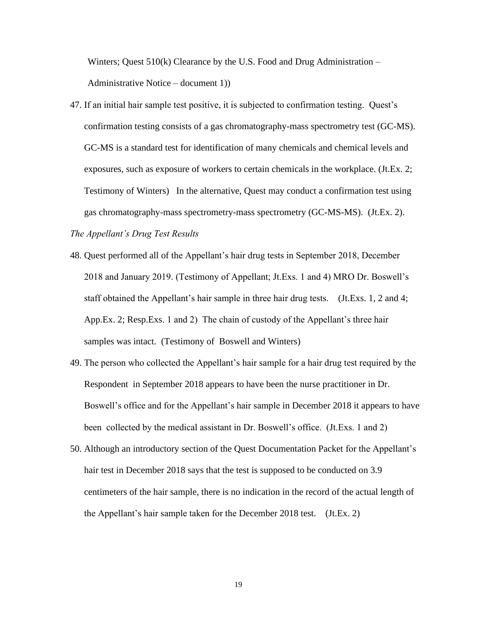Winters; Quest  $510(k)$  Clearance by the U.S. Food and Drug Administration – Administrative Notice – document 1))

47. If an initial hair sample test positive, it is subjected to confirmation testing. Quest's confirmation testing consists of a gas chromatography-mass spectrometry test (GC-MS). GC-MS is a standard test for identification of many chemicals and chemical levels and exposures, such as exposure of workers to certain chemicals in the workplace. (Jt.Ex. 2; Testimony of Winters) In the alternative, Quest may conduct a confirmation test using gas chromatography-mass spectrometry-mass spectrometry (GC-MS-MS). (Jt.Ex. 2).

*The Appellant's Drug Test Results*

- 48. Quest performed all of the Appellant's hair drug tests in September 2018, December 2018 and January 2019. (Testimony of Appellant; Jt.Exs. 1 and 4) MRO Dr. Boswell's staff obtained the Appellant's hair sample in three hair drug tests. (Jt.Exs. 1, 2 and 4; App.Ex. 2; Resp.Exs. 1 and 2) The chain of custody of the Appellant's three hair samples was intact. (Testimony of Boswell and Winters)
- 49. The person who collected the Appellant's hair sample for a hair drug test required by the Respondent in September 2018 appears to have been the nurse practitioner in Dr. Boswell's office and for the Appellant's hair sample in December 2018 it appears to have been collected by the medical assistant in Dr. Boswell's office. (Jt.Exs. 1 and 2)
- 50. Although an introductory section of the Quest Documentation Packet for the Appellant's hair test in December 2018 says that the test is supposed to be conducted on 3.9 centimeters of the hair sample, there is no indication in the record of the actual length of the Appellant's hair sample taken for the December 2018 test. (Jt.Ex. 2)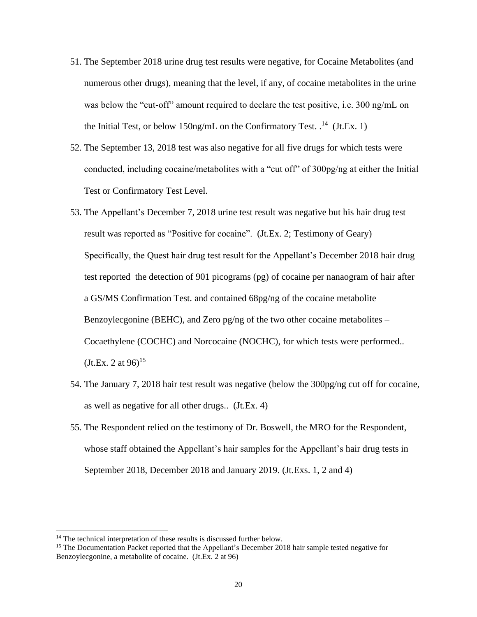- 51. The September 2018 urine drug test results were negative, for Cocaine Metabolites (and numerous other drugs), meaning that the level, if any, of cocaine metabolites in the urine was below the "cut-off" amount required to declare the test positive, i.e. 300 ng/mL on the Initial Test, or below 150ng/mL on the Confirmatory Test.  $^{14}$  (Jt.Ex. 1)
- 52. The September 13, 2018 test was also negative for all five drugs for which tests were conducted, including cocaine/metabolites with a "cut off" of 300pg/ng at either the Initial Test or Confirmatory Test Level.
- 53. The Appellant's December 7, 2018 urine test result was negative but his hair drug test result was reported as "Positive for cocaine". (Jt.Ex. 2; Testimony of Geary) Specifically, the Quest hair drug test result for the Appellant's December 2018 hair drug test reported the detection of 901 picograms (pg) of cocaine per nanaogram of hair after a GS/MS Confirmation Test. and contained 68pg/ng of the cocaine metabolite Benzoylecgonine (BEHC), and Zero pg/ng of the two other cocaine metabolites – Cocaethylene (COCHC) and Norcocaine (NOCHC), for which tests were performed..  $(Jt.Ex. 2 at 96)^{15}$
- 54. The January 7, 2018 hair test result was negative (below the 300pg/ng cut off for cocaine, as well as negative for all other drugs.. (Jt.Ex. 4)
- 55. The Respondent relied on the testimony of Dr. Boswell, the MRO for the Respondent, whose staff obtained the Appellant's hair samples for the Appellant's hair drug tests in September 2018, December 2018 and January 2019. (Jt.Exs. 1, 2 and 4)

<sup>&</sup>lt;sup>14</sup> The technical interpretation of these results is discussed further below.

<sup>&</sup>lt;sup>15</sup> The Documentation Packet reported that the Appellant's December 2018 hair sample tested negative for Benzoylecgonine, a metabolite of cocaine. (Jt.Ex. 2 at 96)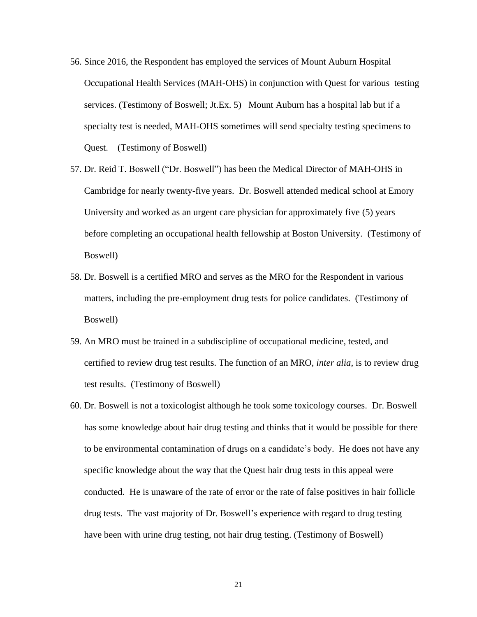- 56. Since 2016, the Respondent has employed the services of Mount Auburn Hospital Occupational Health Services (MAH-OHS) in conjunction with Quest for various testing services. (Testimony of Boswell; Jt.Ex. 5) Mount Auburn has a hospital lab but if a specialty test is needed, MAH-OHS sometimes will send specialty testing specimens to Quest. (Testimony of Boswell)
- 57. Dr. Reid T. Boswell ("Dr. Boswell") has been the Medical Director of MAH-OHS in Cambridge for nearly twenty-five years. Dr. Boswell attended medical school at Emory University and worked as an urgent care physician for approximately five (5) years before completing an occupational health fellowship at Boston University. (Testimony of Boswell)
- 58. Dr. Boswell is a certified MRO and serves as the MRO for the Respondent in various matters, including the pre-employment drug tests for police candidates. (Testimony of Boswell)
- 59. An MRO must be trained in a subdiscipline of occupational medicine, tested, and certified to review drug test results. The function of an MRO, *inter alia*, is to review drug test results. (Testimony of Boswell)
- 60. Dr. Boswell is not a toxicologist although he took some toxicology courses. Dr. Boswell has some knowledge about hair drug testing and thinks that it would be possible for there to be environmental contamination of drugs on a candidate's body. He does not have any specific knowledge about the way that the Quest hair drug tests in this appeal were conducted. He is unaware of the rate of error or the rate of false positives in hair follicle drug tests. The vast majority of Dr. Boswell's experience with regard to drug testing have been with urine drug testing, not hair drug testing. (Testimony of Boswell)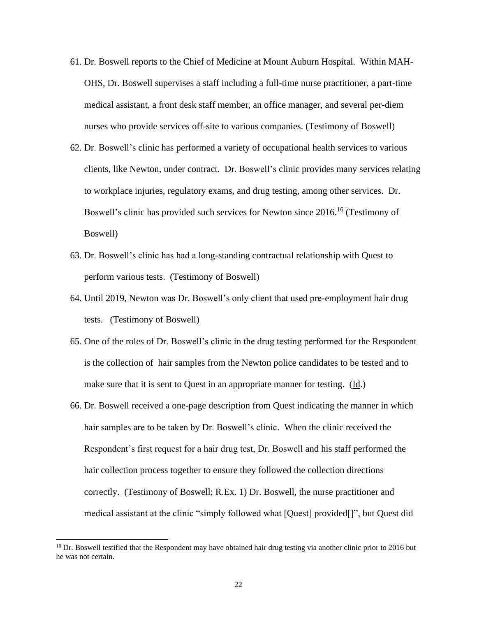- 61. Dr. Boswell reports to the Chief of Medicine at Mount Auburn Hospital. Within MAH-OHS, Dr. Boswell supervises a staff including a full-time nurse practitioner, a part-time medical assistant, a front desk staff member, an office manager, and several per-diem nurses who provide services off-site to various companies. (Testimony of Boswell)
- 62. Dr. Boswell's clinic has performed a variety of occupational health services to various clients, like Newton, under contract. Dr. Boswell's clinic provides many services relating to workplace injuries, regulatory exams, and drug testing, among other services. Dr. Boswell's clinic has provided such services for Newton since 2016.<sup>16</sup> (Testimony of Boswell)
- 63. Dr. Boswell's clinic has had a long-standing contractual relationship with Quest to perform various tests. (Testimony of Boswell)
- 64. Until 2019, Newton was Dr. Boswell's only client that used pre-employment hair drug tests. (Testimony of Boswell)
- 65. One of the roles of Dr. Boswell's clinic in the drug testing performed for the Respondent is the collection of hair samples from the Newton police candidates to be tested and to make sure that it is sent to Quest in an appropriate manner for testing. (Id.)
- 66. Dr. Boswell received a one-page description from Quest indicating the manner in which hair samples are to be taken by Dr. Boswell's clinic. When the clinic received the Respondent's first request for a hair drug test, Dr. Boswell and his staff performed the hair collection process together to ensure they followed the collection directions correctly. (Testimony of Boswell; R.Ex. 1) Dr. Boswell, the nurse practitioner and medical assistant at the clinic "simply followed what [Quest] provided[]", but Quest did

<sup>&</sup>lt;sup>16</sup> Dr. Boswell testified that the Respondent may have obtained hair drug testing via another clinic prior to 2016 but he was not certain.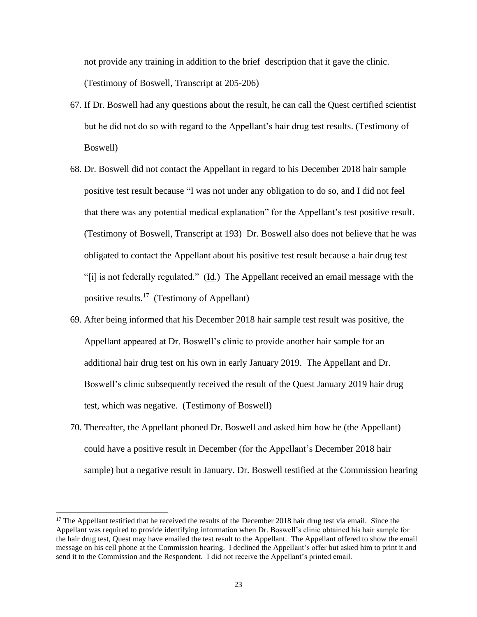not provide any training in addition to the brief description that it gave the clinic. (Testimony of Boswell, Transcript at 205-206)

- 67. If Dr. Boswell had any questions about the result, he can call the Quest certified scientist but he did not do so with regard to the Appellant's hair drug test results. (Testimony of Boswell)
- 68. Dr. Boswell did not contact the Appellant in regard to his December 2018 hair sample positive test result because "I was not under any obligation to do so, and I did not feel that there was any potential medical explanation" for the Appellant's test positive result. (Testimony of Boswell, Transcript at 193) Dr. Boswell also does not believe that he was obligated to contact the Appellant about his positive test result because a hair drug test "[i] is not federally regulated." ( $\underline{Id}$ .) The Appellant received an email message with the positive results.<sup>17</sup> (Testimony of Appellant)
- 69. After being informed that his December 2018 hair sample test result was positive, the Appellant appeared at Dr. Boswell's clinic to provide another hair sample for an additional hair drug test on his own in early January 2019. The Appellant and Dr. Boswell's clinic subsequently received the result of the Quest January 2019 hair drug test, which was negative. (Testimony of Boswell)
- 70. Thereafter, the Appellant phoned Dr. Boswell and asked him how he (the Appellant) could have a positive result in December (for the Appellant's December 2018 hair sample) but a negative result in January. Dr. Boswell testified at the Commission hearing

<sup>&</sup>lt;sup>17</sup> The Appellant testified that he received the results of the December 2018 hair drug test via email. Since the Appellant was required to provide identifying information when Dr. Boswell's clinic obtained his hair sample for the hair drug test, Quest may have emailed the test result to the Appellant. The Appellant offered to show the email message on his cell phone at the Commission hearing. I declined the Appellant's offer but asked him to print it and send it to the Commission and the Respondent. I did not receive the Appellant's printed email.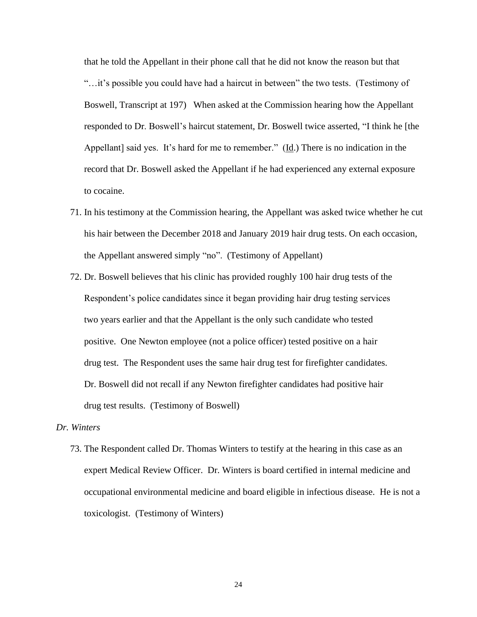that he told the Appellant in their phone call that he did not know the reason but that "…it's possible you could have had a haircut in between" the two tests. (Testimony of Boswell, Transcript at 197) When asked at the Commission hearing how the Appellant responded to Dr. Boswell's haircut statement, Dr. Boswell twice asserted, "I think he [the Appellant] said yes. It's hard for me to remember." (Id.) There is no indication in the record that Dr. Boswell asked the Appellant if he had experienced any external exposure to cocaine.

- 71. In his testimony at the Commission hearing, the Appellant was asked twice whether he cut his hair between the December 2018 and January 2019 hair drug tests. On each occasion, the Appellant answered simply "no". (Testimony of Appellant)
- 72. Dr. Boswell believes that his clinic has provided roughly 100 hair drug tests of the Respondent's police candidates since it began providing hair drug testing services two years earlier and that the Appellant is the only such candidate who tested positive. One Newton employee (not a police officer) tested positive on a hair drug test. The Respondent uses the same hair drug test for firefighter candidates. Dr. Boswell did not recall if any Newton firefighter candidates had positive hair drug test results. (Testimony of Boswell)

#### *Dr. Winters*

73. The Respondent called Dr. Thomas Winters to testify at the hearing in this case as an expert Medical Review Officer. Dr. Winters is board certified in internal medicine and occupational environmental medicine and board eligible in infectious disease. He is not a toxicologist. (Testimony of Winters)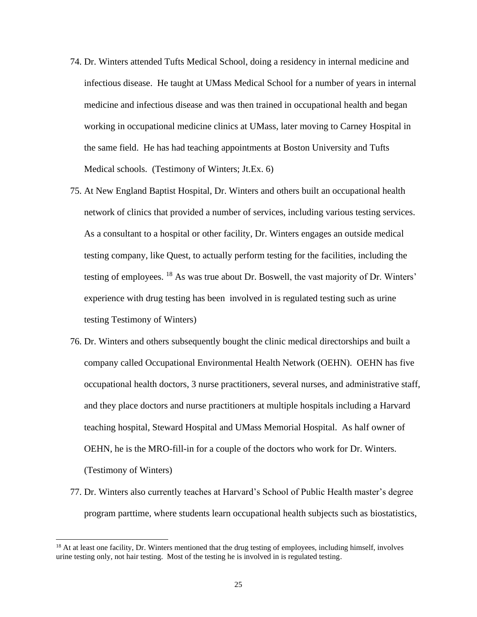- 74. Dr. Winters attended Tufts Medical School, doing a residency in internal medicine and infectious disease. He taught at UMass Medical School for a number of years in internal medicine and infectious disease and was then trained in occupational health and began working in occupational medicine clinics at UMass, later moving to Carney Hospital in the same field. He has had teaching appointments at Boston University and Tufts Medical schools. (Testimony of Winters; Jt.Ex. 6)
- 75. At New England Baptist Hospital, Dr. Winters and others built an occupational health network of clinics that provided a number of services, including various testing services. As a consultant to a hospital or other facility, Dr. Winters engages an outside medical testing company, like Quest, to actually perform testing for the facilities, including the testing of employees. <sup>18</sup> As was true about Dr. Boswell, the vast majority of Dr. Winters' experience with drug testing has been involved in is regulated testing such as urine testing Testimony of Winters)
- 76. Dr. Winters and others subsequently bought the clinic medical directorships and built a company called Occupational Environmental Health Network (OEHN). OEHN has five occupational health doctors, 3 nurse practitioners, several nurses, and administrative staff, and they place doctors and nurse practitioners at multiple hospitals including a Harvard teaching hospital, Steward Hospital and UMass Memorial Hospital. As half owner of OEHN, he is the MRO-fill-in for a couple of the doctors who work for Dr. Winters. (Testimony of Winters)
- 77. Dr. Winters also currently teaches at Harvard's School of Public Health master's degree program parttime, where students learn occupational health subjects such as biostatistics,

<sup>&</sup>lt;sup>18</sup> At at least one facility, Dr. Winters mentioned that the drug testing of employees, including himself, involves urine testing only, not hair testing. Most of the testing he is involved in is regulated testing.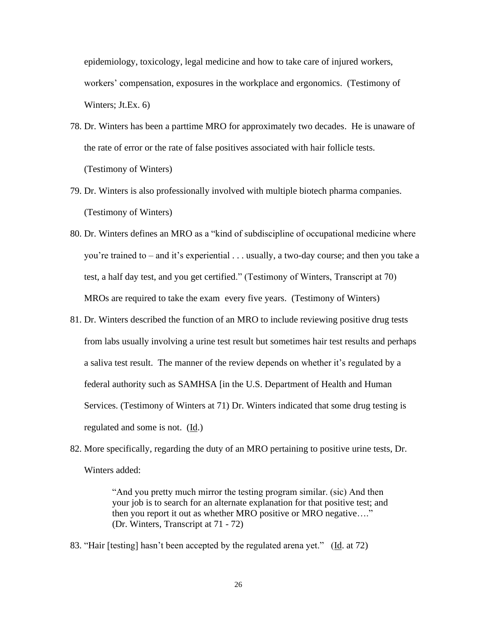epidemiology, toxicology, legal medicine and how to take care of injured workers, workers' compensation, exposures in the workplace and ergonomics. (Testimony of Winters; Jt.Ex. 6)

- 78. Dr. Winters has been a parttime MRO for approximately two decades. He is unaware of the rate of error or the rate of false positives associated with hair follicle tests. (Testimony of Winters)
- 79. Dr. Winters is also professionally involved with multiple biotech pharma companies. (Testimony of Winters)
- 80. Dr. Winters defines an MRO as a "kind of subdiscipline of occupational medicine where you're trained to – and it's experiential . . . usually, a two-day course; and then you take a test, a half day test, and you get certified." (Testimony of Winters, Transcript at 70) MROs are required to take the exam every five years. (Testimony of Winters)
- 81. Dr. Winters described the function of an MRO to include reviewing positive drug tests from labs usually involving a urine test result but sometimes hair test results and perhaps a saliva test result. The manner of the review depends on whether it's regulated by a federal authority such as SAMHSA [in the U.S. Department of Health and Human Services. (Testimony of Winters at 71) Dr. Winters indicated that some drug testing is regulated and some is not. (Id.)
- 82. More specifically, regarding the duty of an MRO pertaining to positive urine tests, Dr. Winters added:

"And you pretty much mirror the testing program similar. (sic) And then your job is to search for an alternate explanation for that positive test; and then you report it out as whether MRO positive or MRO negative…." (Dr. Winters, Transcript at 71 - 72)

83. "Hair [testing] hasn't been accepted by the regulated arena yet." (Id. at 72)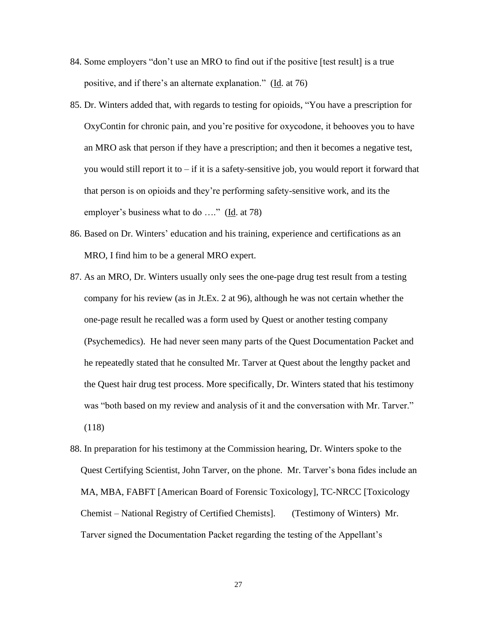- 84. Some employers "don't use an MRO to find out if the positive [test result] is a true positive, and if there's an alternate explanation." (Id. at 76)
- 85. Dr. Winters added that, with regards to testing for opioids, "You have a prescription for OxyContin for chronic pain, and you're positive for oxycodone, it behooves you to have an MRO ask that person if they have a prescription; and then it becomes a negative test, you would still report it to – if it is a safety-sensitive job, you would report it forward that that person is on opioids and they're performing safety-sensitive work, and its the employer's business what to do …." (Id. at 78)
- 86. Based on Dr. Winters' education and his training, experience and certifications as an MRO, I find him to be a general MRO expert.
- 87. As an MRO, Dr. Winters usually only sees the one-page drug test result from a testing company for his review (as in Jt.Ex. 2 at 96), although he was not certain whether the one-page result he recalled was a form used by Quest or another testing company (Psychemedics). He had never seen many parts of the Quest Documentation Packet and he repeatedly stated that he consulted Mr. Tarver at Quest about the lengthy packet and the Quest hair drug test process. More specifically, Dr. Winters stated that his testimony was "both based on my review and analysis of it and the conversation with Mr. Tarver." (118)
- 88. In preparation for his testimony at the Commission hearing, Dr. Winters spoke to the Quest Certifying Scientist, John Tarver, on the phone. Mr. Tarver's bona fides include an MA, MBA, FABFT [American Board of Forensic Toxicology], TC-NRCC [Toxicology Chemist – National Registry of Certified Chemists]. (Testimony of Winters) Mr. Tarver signed the Documentation Packet regarding the testing of the Appellant's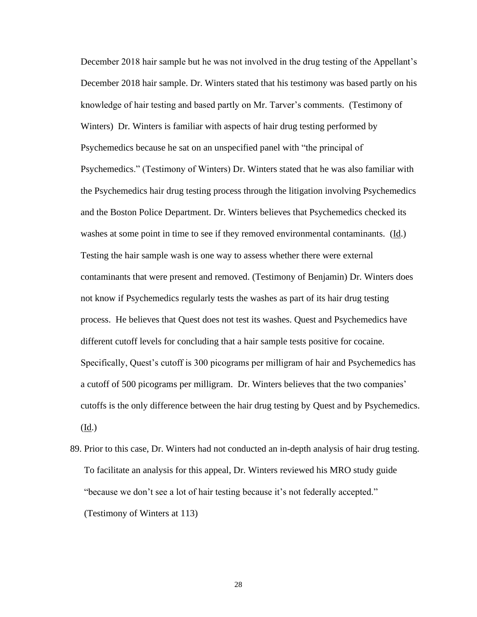December 2018 hair sample but he was not involved in the drug testing of the Appellant's December 2018 hair sample. Dr. Winters stated that his testimony was based partly on his knowledge of hair testing and based partly on Mr. Tarver's comments. (Testimony of Winters) Dr. Winters is familiar with aspects of hair drug testing performed by Psychemedics because he sat on an unspecified panel with "the principal of Psychemedics." (Testimony of Winters) Dr. Winters stated that he was also familiar with the Psychemedics hair drug testing process through the litigation involving Psychemedics and the Boston Police Department. Dr. Winters believes that Psychemedics checked its washes at some point in time to see if they removed environmental contaminants. (Id.) Testing the hair sample wash is one way to assess whether there were external contaminants that were present and removed. (Testimony of Benjamin) Dr. Winters does not know if Psychemedics regularly tests the washes as part of its hair drug testing process. He believes that Quest does not test its washes. Quest and Psychemedics have different cutoff levels for concluding that a hair sample tests positive for cocaine. Specifically, Quest's cutoff is 300 picograms per milligram of hair and Psychemedics has a cutoff of 500 picograms per milligram. Dr. Winters believes that the two companies' cutoffs is the only difference between the hair drug testing by Quest and by Psychemedics. (Id.)

89. Prior to this case, Dr. Winters had not conducted an in-depth analysis of hair drug testing. To facilitate an analysis for this appeal, Dr. Winters reviewed his MRO study guide "because we don't see a lot of hair testing because it's not federally accepted." (Testimony of Winters at 113)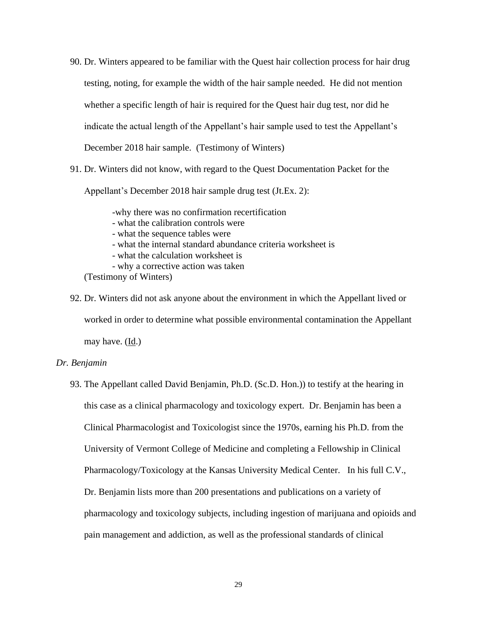- 90. Dr. Winters appeared to be familiar with the Quest hair collection process for hair drug testing, noting, for example the width of the hair sample needed. He did not mention whether a specific length of hair is required for the Quest hair dug test, nor did he indicate the actual length of the Appellant's hair sample used to test the Appellant's December 2018 hair sample. (Testimony of Winters)
- 91. Dr. Winters did not know, with regard to the Quest Documentation Packet for the

Appellant's December 2018 hair sample drug test (Jt.Ex. 2):

-why there was no confirmation recertification

- what the calibration controls were
- what the sequence tables were
- what the internal standard abundance criteria worksheet is
- what the calculation worksheet is
- why a corrective action was taken

(Testimony of Winters)

92. Dr. Winters did not ask anyone about the environment in which the Appellant lived or worked in order to determine what possible environmental contamination the Appellant may have. (Id.)

#### *Dr. Benjamin*

93. The Appellant called David Benjamin, Ph.D. (Sc.D. Hon.)) to testify at the hearing in this case as a clinical pharmacology and toxicology expert. Dr. Benjamin has been a Clinical Pharmacologist and Toxicologist since the 1970s, earning his Ph.D. from the University of Vermont College of Medicine and completing a Fellowship in Clinical Pharmacology/Toxicology at the Kansas University Medical Center. In his full C.V., Dr. Benjamin lists more than 200 presentations and publications on a variety of pharmacology and toxicology subjects, including ingestion of marijuana and opioids and pain management and addiction, as well as the professional standards of clinical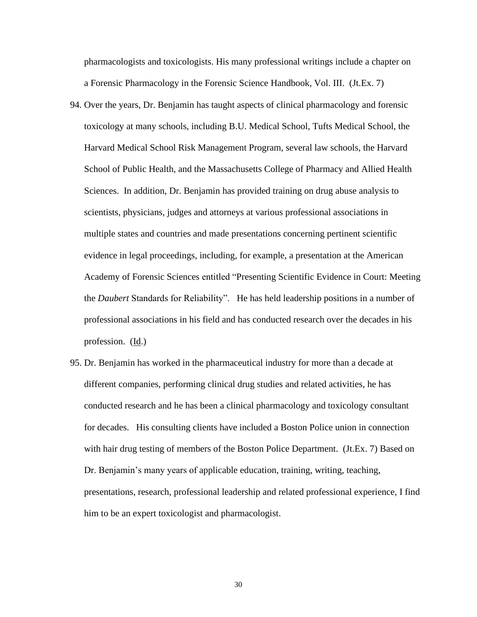pharmacologists and toxicologists. His many professional writings include a chapter on a Forensic Pharmacology in the Forensic Science Handbook, Vol. III. (Jt.Ex. 7)

- 94. Over the years, Dr. Benjamin has taught aspects of clinical pharmacology and forensic toxicology at many schools, including B.U. Medical School, Tufts Medical School, the Harvard Medical School Risk Management Program, several law schools, the Harvard School of Public Health, and the Massachusetts College of Pharmacy and Allied Health Sciences. In addition, Dr. Benjamin has provided training on drug abuse analysis to scientists, physicians, judges and attorneys at various professional associations in multiple states and countries and made presentations concerning pertinent scientific evidence in legal proceedings, including, for example, a presentation at the American Academy of Forensic Sciences entitled "Presenting Scientific Evidence in Court: Meeting the *Daubert* Standards for Reliability". He has held leadership positions in a number of professional associations in his field and has conducted research over the decades in his profession. (Id.)
- 95. Dr. Benjamin has worked in the pharmaceutical industry for more than a decade at different companies, performing clinical drug studies and related activities, he has conducted research and he has been a clinical pharmacology and toxicology consultant for decades. His consulting clients have included a Boston Police union in connection with hair drug testing of members of the Boston Police Department. (Jt.Ex. 7) Based on Dr. Benjamin's many years of applicable education, training, writing, teaching, presentations, research, professional leadership and related professional experience, I find him to be an expert toxicologist and pharmacologist.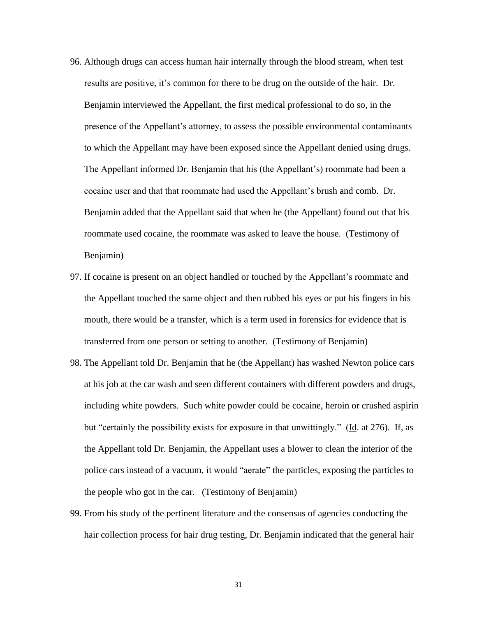- 96. Although drugs can access human hair internally through the blood stream, when test results are positive, it's common for there to be drug on the outside of the hair. Dr. Benjamin interviewed the Appellant, the first medical professional to do so, in the presence of the Appellant's attorney, to assess the possible environmental contaminants to which the Appellant may have been exposed since the Appellant denied using drugs. The Appellant informed Dr. Benjamin that his (the Appellant's) roommate had been a cocaine user and that that roommate had used the Appellant's brush and comb. Dr. Benjamin added that the Appellant said that when he (the Appellant) found out that his roommate used cocaine, the roommate was asked to leave the house. (Testimony of Benjamin)
- 97. If cocaine is present on an object handled or touched by the Appellant's roommate and the Appellant touched the same object and then rubbed his eyes or put his fingers in his mouth, there would be a transfer, which is a term used in forensics for evidence that is transferred from one person or setting to another. (Testimony of Benjamin)
- 98. The Appellant told Dr. Benjamin that he (the Appellant) has washed Newton police cars at his job at the car wash and seen different containers with different powders and drugs, including white powders. Such white powder could be cocaine, heroin or crushed aspirin but "certainly the possibility exists for exposure in that unwittingly." (Id. at 276). If, as the Appellant told Dr. Benjamin, the Appellant uses a blower to clean the interior of the police cars instead of a vacuum, it would "aerate" the particles, exposing the particles to the people who got in the car. (Testimony of Benjamin)
- 99. From his study of the pertinent literature and the consensus of agencies conducting the hair collection process for hair drug testing, Dr. Benjamin indicated that the general hair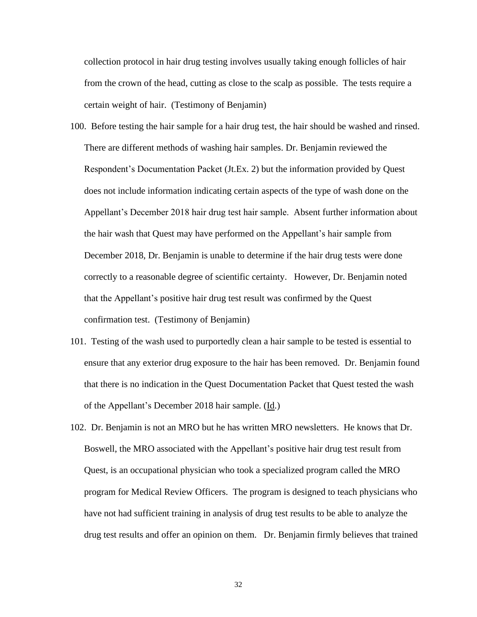collection protocol in hair drug testing involves usually taking enough follicles of hair from the crown of the head, cutting as close to the scalp as possible. The tests require a certain weight of hair. (Testimony of Benjamin)

- 100. Before testing the hair sample for a hair drug test, the hair should be washed and rinsed. There are different methods of washing hair samples. Dr. Benjamin reviewed the Respondent's Documentation Packet (Jt.Ex. 2) but the information provided by Quest does not include information indicating certain aspects of the type of wash done on the Appellant's December 2018 hair drug test hair sample. Absent further information about the hair wash that Quest may have performed on the Appellant's hair sample from December 2018, Dr. Benjamin is unable to determine if the hair drug tests were done correctly to a reasonable degree of scientific certainty. However, Dr. Benjamin noted that the Appellant's positive hair drug test result was confirmed by the Quest confirmation test. (Testimony of Benjamin)
- 101. Testing of the wash used to purportedly clean a hair sample to be tested is essential to ensure that any exterior drug exposure to the hair has been removed. Dr. Benjamin found that there is no indication in the Quest Documentation Packet that Quest tested the wash of the Appellant's December 2018 hair sample. (Id.)
- 102. Dr. Benjamin is not an MRO but he has written MRO newsletters. He knows that Dr. Boswell, the MRO associated with the Appellant's positive hair drug test result from Quest, is an occupational physician who took a specialized program called the MRO program for Medical Review Officers. The program is designed to teach physicians who have not had sufficient training in analysis of drug test results to be able to analyze the drug test results and offer an opinion on them. Dr. Benjamin firmly believes that trained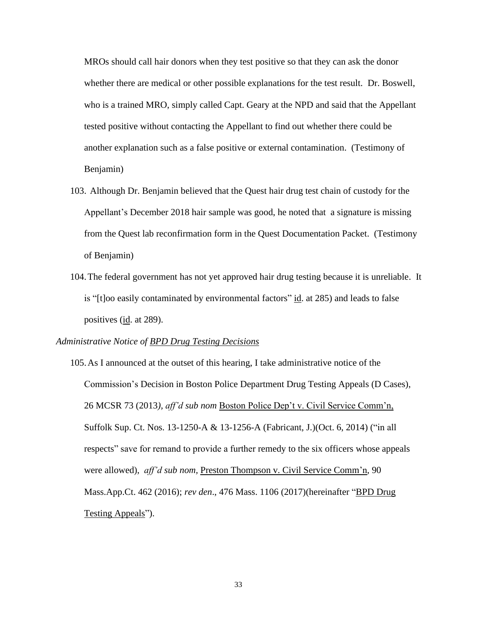MROs should call hair donors when they test positive so that they can ask the donor whether there are medical or other possible explanations for the test result. Dr. Boswell, who is a trained MRO, simply called Capt. Geary at the NPD and said that the Appellant tested positive without contacting the Appellant to find out whether there could be another explanation such as a false positive or external contamination. (Testimony of Benjamin)

- 103. Although Dr. Benjamin believed that the Quest hair drug test chain of custody for the Appellant's December 2018 hair sample was good, he noted that a signature is missing from the Quest lab reconfirmation form in the Quest Documentation Packet. (Testimony of Benjamin)
- 104.The federal government has not yet approved hair drug testing because it is unreliable. It is "[t]oo easily contaminated by environmental factors" id. at 285) and leads to false positives (id. at 289).

#### *Administrative Notice of BPD Drug Testing Decisions*

105.As I announced at the outset of this hearing, I take administrative notice of the Commission's Decision in Boston Police Department Drug Testing Appeals (D Cases), 26 MCSR 73 (2013*), aff'd sub nom* Boston Police Dep't v. Civil Service Comm'n, Suffolk Sup. Ct. Nos. 13-1250-A & 13-1256-A (Fabricant, J.)(Oct. 6, 2014) ("in all respects" save for remand to provide a further remedy to the six officers whose appeals were allowed), *aff'd sub nom,* Preston Thompson v. Civil Service Comm'n, 90 Mass.App.Ct. 462 (2016); *rev den*., 476 Mass. 1106 (2017)(hereinafter "BPD Drug Testing Appeals").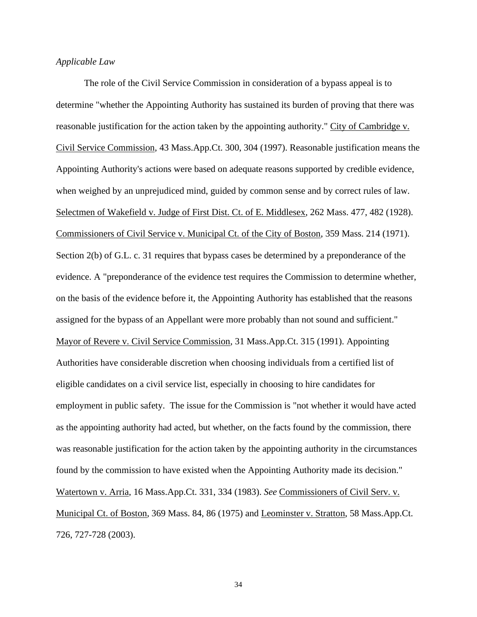## *Applicable Law*

The role of the Civil Service Commission in consideration of a bypass appeal is to determine "whether the Appointing Authority has sustained its burden of proving that there was reasonable justification for the action taken by the appointing authority." City of Cambridge v. Civil Service Commission, 43 Mass.App.Ct. 300, 304 (1997). Reasonable justification means the Appointing Authority's actions were based on adequate reasons supported by credible evidence, when weighed by an unprejudiced mind, guided by common sense and by correct rules of law. Selectmen of Wakefield v. Judge of First Dist. Ct. of E. Middlesex, 262 Mass. 477, 482 (1928). Commissioners of Civil Service v. Municipal Ct. of the City of Boston, 359 Mass. 214 (1971). Section 2(b) of G.L. c. 31 requires that bypass cases be determined by a preponderance of the evidence. A "preponderance of the evidence test requires the Commission to determine whether, on the basis of the evidence before it, the Appointing Authority has established that the reasons assigned for the bypass of an Appellant were more probably than not sound and sufficient." Mayor of Revere v. Civil Service Commission, 31 Mass.App.Ct. 315 (1991). Appointing Authorities have considerable discretion when choosing individuals from a certified list of eligible candidates on a civil service list, especially in choosing to hire candidates for employment in public safety. The issue for the Commission is "not whether it would have acted as the appointing authority had acted, but whether, on the facts found by the commission, there was reasonable justification for the action taken by the appointing authority in the circumstances found by the commission to have existed when the Appointing Authority made its decision." Watertown v. Arria, 16 Mass.App.Ct. 331, 334 (1983). *See* Commissioners of Civil Serv. v. Municipal Ct. of Boston, 369 Mass. 84, 86 (1975) and Leominster v. Stratton, 58 Mass.App.Ct. 726, 727-728 (2003).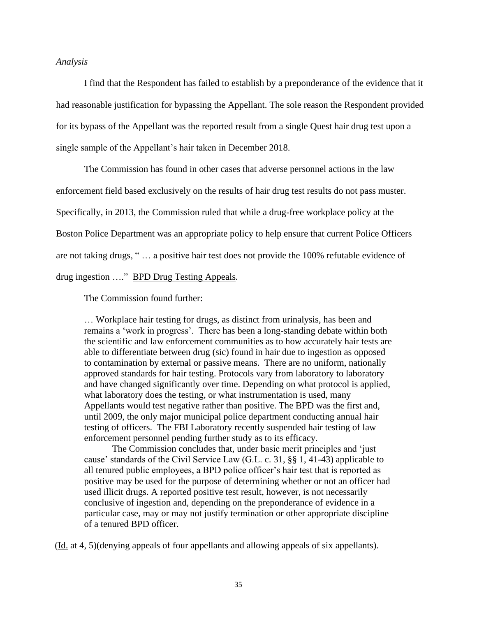## *Analysis*

I find that the Respondent has failed to establish by a preponderance of the evidence that it had reasonable justification for bypassing the Appellant. The sole reason the Respondent provided for its bypass of the Appellant was the reported result from a single Quest hair drug test upon a single sample of the Appellant's hair taken in December 2018.

The Commission has found in other cases that adverse personnel actions in the law enforcement field based exclusively on the results of hair drug test results do not pass muster. Specifically, in 2013, the Commission ruled that while a drug-free workplace policy at the Boston Police Department was an appropriate policy to help ensure that current Police Officers are not taking drugs, " … a positive hair test does not provide the 100% refutable evidence of drug ingestion …." BPD Drug Testing Appeals*.*

The Commission found further:

… Workplace hair testing for drugs, as distinct from urinalysis, has been and remains a 'work in progress'. There has been a long-standing debate within both the scientific and law enforcement communities as to how accurately hair tests are able to differentiate between drug (sic) found in hair due to ingestion as opposed to contamination by external or passive means. There are no uniform, nationally approved standards for hair testing. Protocols vary from laboratory to laboratory and have changed significantly over time. Depending on what protocol is applied, what laboratory does the testing, or what instrumentation is used, many Appellants would test negative rather than positive. The BPD was the first and, until 2009, the only major municipal police department conducting annual hair testing of officers. The FBI Laboratory recently suspended hair testing of law enforcement personnel pending further study as to its efficacy.

The Commission concludes that, under basic merit principles and 'just cause' standards of the Civil Service Law (G.L. c. 31, §§ 1, 41-43) applicable to all tenured public employees, a BPD police officer's hair test that is reported as positive may be used for the purpose of determining whether or not an officer had used illicit drugs. A reported positive test result, however, is not necessarily conclusive of ingestion and, depending on the preponderance of evidence in a particular case, may or may not justify termination or other appropriate discipline of a tenured BPD officer.

(Id. at 4, 5)(denying appeals of four appellants and allowing appeals of six appellants).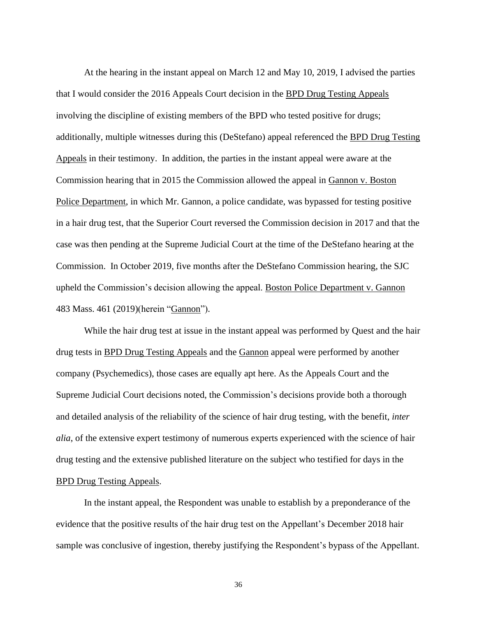At the hearing in the instant appeal on March 12 and May 10, 2019, I advised the parties that I would consider the 2016 Appeals Court decision in the BPD Drug Testing Appeals involving the discipline of existing members of the BPD who tested positive for drugs; additionally, multiple witnesses during this (DeStefano) appeal referenced the BPD Drug Testing Appeals in their testimony. In addition, the parties in the instant appeal were aware at the Commission hearing that in 2015 the Commission allowed the appeal in Gannon v. Boston Police Department, in which Mr. Gannon, a police candidate, was bypassed for testing positive in a hair drug test, that the Superior Court reversed the Commission decision in 2017 and that the case was then pending at the Supreme Judicial Court at the time of the DeStefano hearing at the Commission. In October 2019, five months after the DeStefano Commission hearing, the SJC upheld the Commission's decision allowing the appeal. Boston Police Department v. Gannon 483 Mass. 461 (2019)(herein "Gannon").

While the hair drug test at issue in the instant appeal was performed by Quest and the hair drug tests in BPD Drug Testing Appeals and the Gannon appeal were performed by another company (Psychemedics), those cases are equally apt here. As the Appeals Court and the Supreme Judicial Court decisions noted, the Commission's decisions provide both a thorough and detailed analysis of the reliability of the science of hair drug testing, with the benefit, *inter alia*, of the extensive expert testimony of numerous experts experienced with the science of hair drug testing and the extensive published literature on the subject who testified for days in the BPD Drug Testing Appeals.

In the instant appeal, the Respondent was unable to establish by a preponderance of the evidence that the positive results of the hair drug test on the Appellant's December 2018 hair sample was conclusive of ingestion, thereby justifying the Respondent's bypass of the Appellant.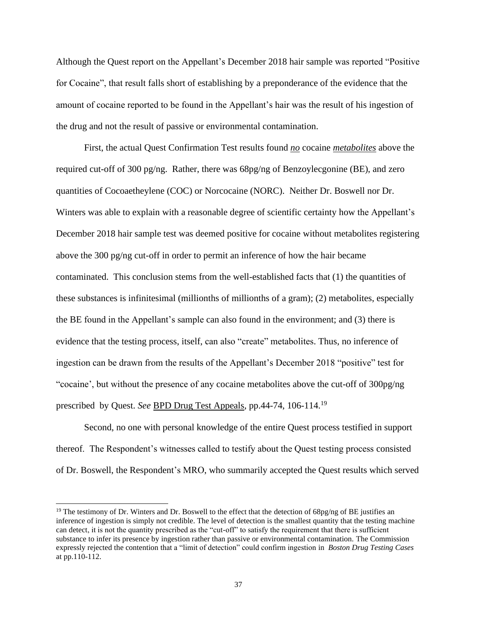Although the Quest report on the Appellant's December 2018 hair sample was reported "Positive for Cocaine", that result falls short of establishing by a preponderance of the evidence that the amount of cocaine reported to be found in the Appellant's hair was the result of his ingestion of the drug and not the result of passive or environmental contamination.

First, the actual Quest Confirmation Test results found *no* cocaine *metabolites* above the required cut-off of 300 pg/ng. Rather, there was 68pg/ng of Benzoylecgonine (BE), and zero quantities of Cocoaetheylene (COC) or Norcocaine (NORC). Neither Dr. Boswell nor Dr. Winters was able to explain with a reasonable degree of scientific certainty how the Appellant's December 2018 hair sample test was deemed positive for cocaine without metabolites registering above the 300 pg/ng cut-off in order to permit an inference of how the hair became contaminated. This conclusion stems from the well-established facts that (1) the quantities of these substances is infinitesimal (millionths of millionths of a gram); (2) metabolites, especially the BE found in the Appellant's sample can also found in the environment; and (3) there is evidence that the testing process, itself, can also "create" metabolites. Thus, no inference of ingestion can be drawn from the results of the Appellant's December 2018 "positive" test for "cocaine', but without the presence of any cocaine metabolites above the cut-off of 300pg/ng prescribed by Quest. *See* BPD Drug Test Appeals, pp.44-74, 106-114. 19

Second, no one with personal knowledge of the entire Quest process testified in support thereof. The Respondent's witnesses called to testify about the Quest testing process consisted of Dr. Boswell, the Respondent's MRO, who summarily accepted the Quest results which served

<sup>&</sup>lt;sup>19</sup> The testimony of Dr. Winters and Dr. Boswell to the effect that the detection of 68pg/ng of BE justifies an inference of ingestion is simply not credible. The level of detection is the smallest quantity that the testing machine can detect, it is not the quantity prescribed as the "cut-off" to satisfy the requirement that there is sufficient substance to infer its presence by ingestion rather than passive or environmental contamination. The Commission expressly rejected the contention that a "limit of detection" could confirm ingestion in *Boston Drug Testing Cases* at pp.110-112.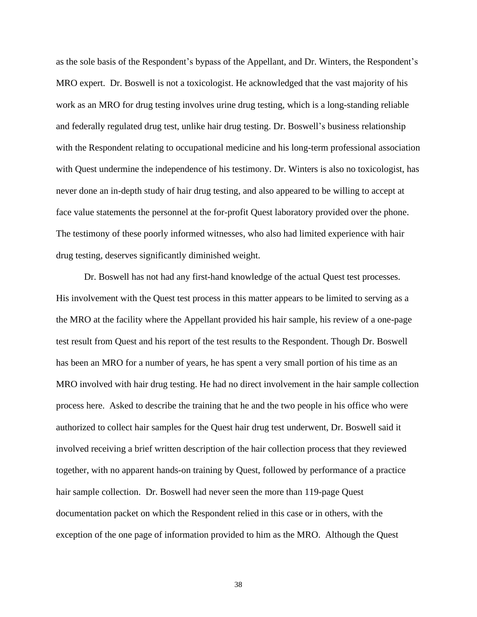as the sole basis of the Respondent's bypass of the Appellant, and Dr. Winters, the Respondent's MRO expert. Dr. Boswell is not a toxicologist. He acknowledged that the vast majority of his work as an MRO for drug testing involves urine drug testing, which is a long-standing reliable and federally regulated drug test, unlike hair drug testing. Dr. Boswell's business relationship with the Respondent relating to occupational medicine and his long-term professional association with Quest undermine the independence of his testimony. Dr. Winters is also no toxicologist, has never done an in-depth study of hair drug testing, and also appeared to be willing to accept at face value statements the personnel at the for-profit Quest laboratory provided over the phone. The testimony of these poorly informed witnesses, who also had limited experience with hair drug testing, deserves significantly diminished weight.

Dr. Boswell has not had any first-hand knowledge of the actual Quest test processes. His involvement with the Quest test process in this matter appears to be limited to serving as a the MRO at the facility where the Appellant provided his hair sample, his review of a one-page test result from Quest and his report of the test results to the Respondent. Though Dr. Boswell has been an MRO for a number of years, he has spent a very small portion of his time as an MRO involved with hair drug testing. He had no direct involvement in the hair sample collection process here. Asked to describe the training that he and the two people in his office who were authorized to collect hair samples for the Quest hair drug test underwent, Dr. Boswell said it involved receiving a brief written description of the hair collection process that they reviewed together, with no apparent hands-on training by Quest, followed by performance of a practice hair sample collection. Dr. Boswell had never seen the more than 119-page Quest documentation packet on which the Respondent relied in this case or in others, with the exception of the one page of information provided to him as the MRO. Although the Quest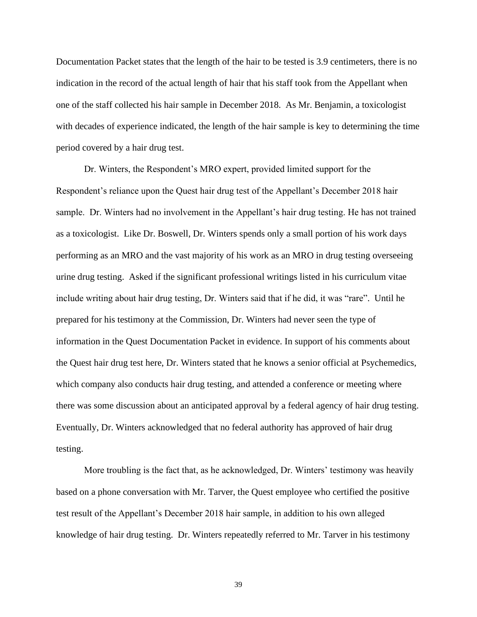Documentation Packet states that the length of the hair to be tested is 3.9 centimeters, there is no indication in the record of the actual length of hair that his staff took from the Appellant when one of the staff collected his hair sample in December 2018. As Mr. Benjamin, a toxicologist with decades of experience indicated, the length of the hair sample is key to determining the time period covered by a hair drug test.

Dr. Winters, the Respondent's MRO expert, provided limited support for the Respondent's reliance upon the Quest hair drug test of the Appellant's December 2018 hair sample. Dr. Winters had no involvement in the Appellant's hair drug testing. He has not trained as a toxicologist. Like Dr. Boswell, Dr. Winters spends only a small portion of his work days performing as an MRO and the vast majority of his work as an MRO in drug testing overseeing urine drug testing. Asked if the significant professional writings listed in his curriculum vitae include writing about hair drug testing, Dr. Winters said that if he did, it was "rare". Until he prepared for his testimony at the Commission, Dr. Winters had never seen the type of information in the Quest Documentation Packet in evidence. In support of his comments about the Quest hair drug test here, Dr. Winters stated that he knows a senior official at Psychemedics, which company also conducts hair drug testing, and attended a conference or meeting where there was some discussion about an anticipated approval by a federal agency of hair drug testing. Eventually, Dr. Winters acknowledged that no federal authority has approved of hair drug testing.

More troubling is the fact that, as he acknowledged, Dr. Winters' testimony was heavily based on a phone conversation with Mr. Tarver, the Quest employee who certified the positive test result of the Appellant's December 2018 hair sample, in addition to his own alleged knowledge of hair drug testing. Dr. Winters repeatedly referred to Mr. Tarver in his testimony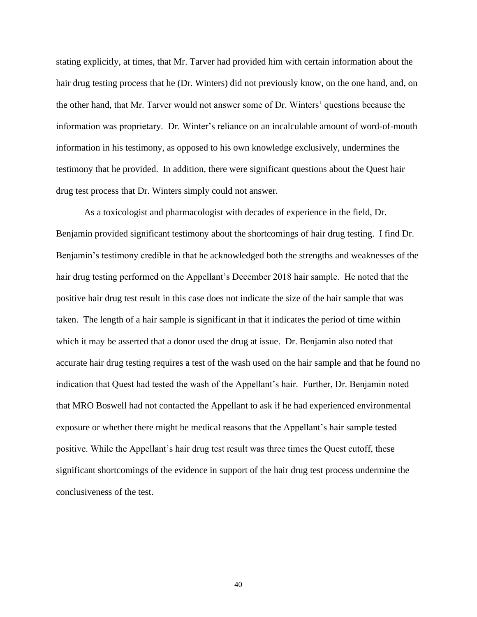stating explicitly, at times, that Mr. Tarver had provided him with certain information about the hair drug testing process that he (Dr. Winters) did not previously know, on the one hand, and, on the other hand, that Mr. Tarver would not answer some of Dr. Winters' questions because the information was proprietary. Dr. Winter's reliance on an incalculable amount of word-of-mouth information in his testimony, as opposed to his own knowledge exclusively, undermines the testimony that he provided. In addition, there were significant questions about the Quest hair drug test process that Dr. Winters simply could not answer.

As a toxicologist and pharmacologist with decades of experience in the field, Dr. Benjamin provided significant testimony about the shortcomings of hair drug testing. I find Dr. Benjamin's testimony credible in that he acknowledged both the strengths and weaknesses of the hair drug testing performed on the Appellant's December 2018 hair sample. He noted that the positive hair drug test result in this case does not indicate the size of the hair sample that was taken. The length of a hair sample is significant in that it indicates the period of time within which it may be asserted that a donor used the drug at issue. Dr. Benjamin also noted that accurate hair drug testing requires a test of the wash used on the hair sample and that he found no indication that Quest had tested the wash of the Appellant's hair. Further, Dr. Benjamin noted that MRO Boswell had not contacted the Appellant to ask if he had experienced environmental exposure or whether there might be medical reasons that the Appellant's hair sample tested positive. While the Appellant's hair drug test result was three times the Quest cutoff, these significant shortcomings of the evidence in support of the hair drug test process undermine the conclusiveness of the test.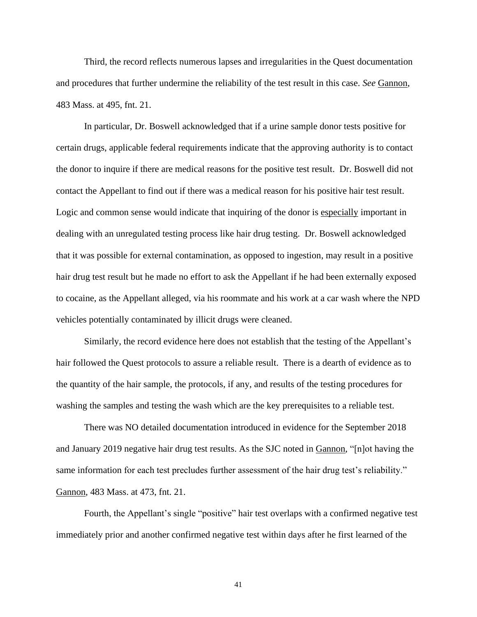Third, the record reflects numerous lapses and irregularities in the Quest documentation and procedures that further undermine the reliability of the test result in this case. *See* Gannon, 483 Mass. at 495, fnt. 21.

In particular, Dr. Boswell acknowledged that if a urine sample donor tests positive for certain drugs, applicable federal requirements indicate that the approving authority is to contact the donor to inquire if there are medical reasons for the positive test result. Dr. Boswell did not contact the Appellant to find out if there was a medical reason for his positive hair test result. Logic and common sense would indicate that inquiring of the donor is especially important in dealing with an unregulated testing process like hair drug testing. Dr. Boswell acknowledged that it was possible for external contamination, as opposed to ingestion, may result in a positive hair drug test result but he made no effort to ask the Appellant if he had been externally exposed to cocaine, as the Appellant alleged, via his roommate and his work at a car wash where the NPD vehicles potentially contaminated by illicit drugs were cleaned.

Similarly, the record evidence here does not establish that the testing of the Appellant's hair followed the Quest protocols to assure a reliable result. There is a dearth of evidence as to the quantity of the hair sample, the protocols, if any, and results of the testing procedures for washing the samples and testing the wash which are the key prerequisites to a reliable test.

There was NO detailed documentation introduced in evidence for the September 2018 and January 2019 negative hair drug test results. As the SJC noted in Gannon, "[n]ot having the same information for each test precludes further assessment of the hair drug test's reliability." Gannon, 483 Mass. at 473, fnt. 21.

Fourth, the Appellant's single "positive" hair test overlaps with a confirmed negative test immediately prior and another confirmed negative test within days after he first learned of the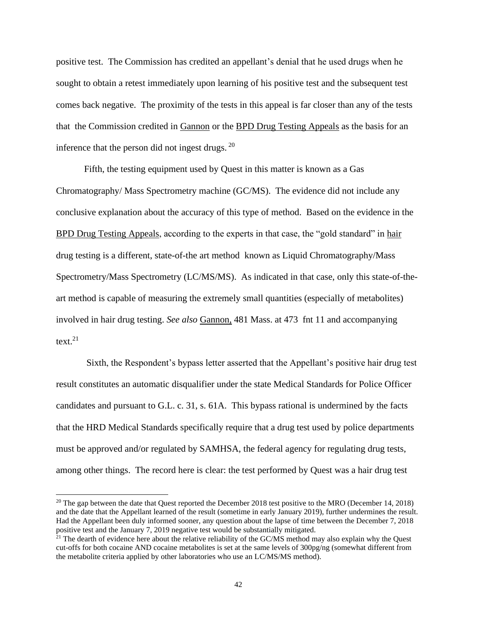positive test. The Commission has credited an appellant's denial that he used drugs when he sought to obtain a retest immediately upon learning of his positive test and the subsequent test comes back negative. The proximity of the tests in this appeal is far closer than any of the tests that the Commission credited in Gannon or the BPD Drug Testing Appeals as the basis for an inference that the person did not ingest drugs.  $20$ 

Fifth, the testing equipment used by Quest in this matter is known as a Gas Chromatography/ Mass Spectrometry machine (GC/MS). The evidence did not include any conclusive explanation about the accuracy of this type of method. Based on the evidence in the BPD Drug Testing Appeals, according to the experts in that case, the "gold standard" in hair drug testing is a different, state-of-the art method known as Liquid Chromatography/Mass Spectrometry/Mass Spectrometry (LC/MS/MS). As indicated in that case, only this state-of-theart method is capable of measuring the extremely small quantities (especially of metabolites) involved in hair drug testing. *See also* Gannon, 481 Mass. at 473 fnt 11 and accompanying text.<sup>21</sup>

Sixth, the Respondent's bypass letter asserted that the Appellant's positive hair drug test result constitutes an automatic disqualifier under the state Medical Standards for Police Officer candidates and pursuant to G.L. c. 31, s. 61A. This bypass rational is undermined by the facts that the HRD Medical Standards specifically require that a drug test used by police departments must be approved and/or regulated by SAMHSA, the federal agency for regulating drug tests, among other things. The record here is clear: the test performed by Quest was a hair drug test

<sup>&</sup>lt;sup>20</sup> The gap between the date that Quest reported the December 2018 test positive to the MRO (December 14, 2018) and the date that the Appellant learned of the result (sometime in early January 2019), further undermines the result. Had the Appellant been duly informed sooner, any question about the lapse of time between the December 7, 2018 positive test and the January 7, 2019 negative test would be substantially mitigated.

 $21$ <sup>21</sup> The dearth of evidence here about the relative reliability of the GC/MS method may also explain why the Quest cut-offs for both cocaine AND cocaine metabolites is set at the same levels of 300pg/ng (somewhat different from the metabolite criteria applied by other laboratories who use an LC/MS/MS method).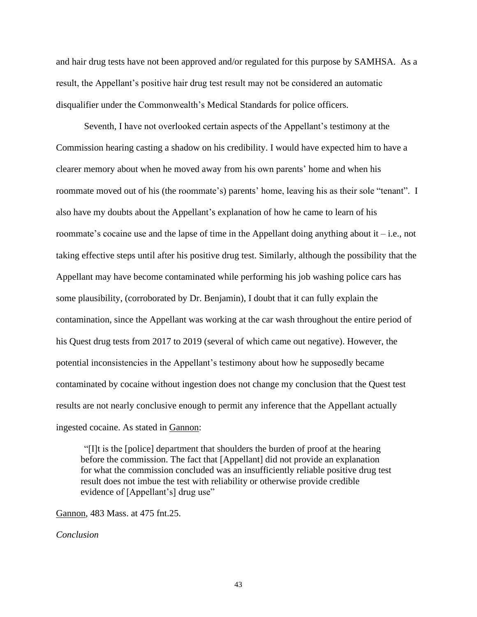and hair drug tests have not been approved and/or regulated for this purpose by SAMHSA. As a result, the Appellant's positive hair drug test result may not be considered an automatic disqualifier under the Commonwealth's Medical Standards for police officers.

Seventh, I have not overlooked certain aspects of the Appellant's testimony at the Commission hearing casting a shadow on his credibility. I would have expected him to have a clearer memory about when he moved away from his own parents' home and when his roommate moved out of his (the roommate's) parents' home, leaving his as their sole "tenant". I also have my doubts about the Appellant's explanation of how he came to learn of his roommate's cocaine use and the lapse of time in the Appellant doing anything about it – i.e., not taking effective steps until after his positive drug test. Similarly, although the possibility that the Appellant may have become contaminated while performing his job washing police cars has some plausibility, (corroborated by Dr. Benjamin), I doubt that it can fully explain the contamination, since the Appellant was working at the car wash throughout the entire period of his Quest drug tests from 2017 to 2019 (several of which came out negative). However, the potential inconsistencies in the Appellant's testimony about how he supposedly became contaminated by cocaine without ingestion does not change my conclusion that the Quest test results are not nearly conclusive enough to permit any inference that the Appellant actually ingested cocaine. As stated in Gannon:

"[I]t is the [police] department that shoulders the burden of proof at the hearing before the commission. The fact that [Appellant] did not provide an explanation for what the commission concluded was an insufficiently reliable positive drug test result does not imbue the test with reliability or otherwise provide credible evidence of [Appellant's] drug use"

Gannon*,* 483 Mass. at 475 fnt.25.

*Conclusion*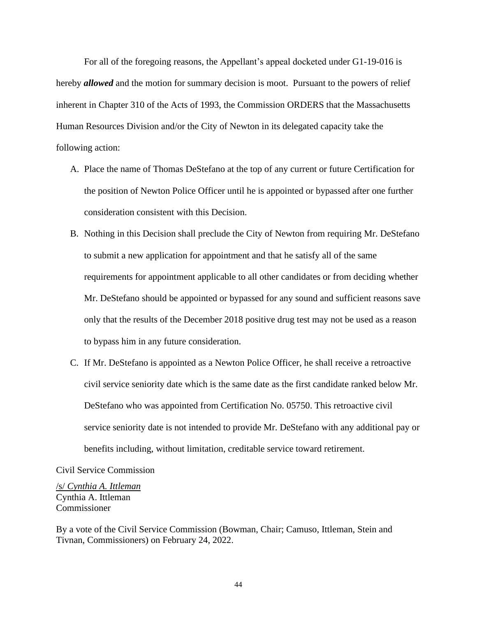For all of the foregoing reasons, the Appellant's appeal docketed under G1-19-016 is hereby *allowed* and the motion for summary decision is moot. Pursuant to the powers of relief inherent in Chapter 310 of the Acts of 1993, the Commission ORDERS that the Massachusetts Human Resources Division and/or the City of Newton in its delegated capacity take the following action:

- A. Place the name of Thomas DeStefano at the top of any current or future Certification for the position of Newton Police Officer until he is appointed or bypassed after one further consideration consistent with this Decision.
- B. Nothing in this Decision shall preclude the City of Newton from requiring Mr. DeStefano to submit a new application for appointment and that he satisfy all of the same requirements for appointment applicable to all other candidates or from deciding whether Mr. DeStefano should be appointed or bypassed for any sound and sufficient reasons save only that the results of the December 2018 positive drug test may not be used as a reason to bypass him in any future consideration.
- C. If Mr. DeStefano is appointed as a Newton Police Officer, he shall receive a retroactive civil service seniority date which is the same date as the first candidate ranked below Mr. DeStefano who was appointed from Certification No. 05750. This retroactive civil service seniority date is not intended to provide Mr. DeStefano with any additional pay or benefits including, without limitation, creditable service toward retirement.

Civil Service Commission

/s/ *Cynthia A. Ittleman* Cynthia A. Ittleman Commissioner

By a vote of the Civil Service Commission (Bowman, Chair; Camuso, Ittleman, Stein and Tivnan, Commissioners) on February 24, 2022.